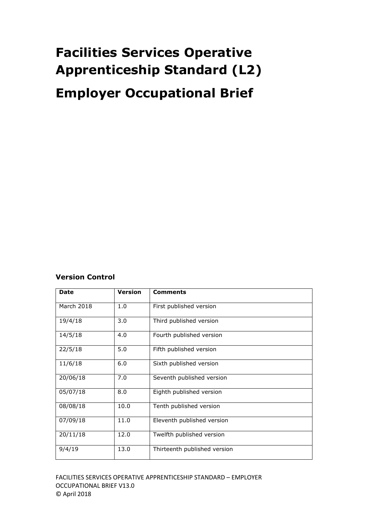# **Facilities Services Operative Apprenticeship Standard (L2)**

# **Employer Occupational Brief**

#### **Version Control**

| <b>Date</b> | <b>Version</b> | <b>Comments</b>              |
|-------------|----------------|------------------------------|
| March 2018  | 1.0            | First published version      |
| 19/4/18     | 3.0            | Third published version      |
| 14/5/18     | 4.0            | Fourth published version     |
| 22/5/18     | 5.0            | Fifth published version      |
| 11/6/18     | 6.0            | Sixth published version      |
| 20/06/18    | 7.0            | Seventh published version    |
| 05/07/18    | 8.0            | Eighth published version     |
| 08/08/18    | 10.0           | Tenth published version      |
| 07/09/18    | 11.0           | Eleventh published version   |
| 20/11/18    | 12.0           | Twelfth published version    |
| 9/4/19      | 13.0           | Thirteenth published version |

FACILITIES SERVICES OPERATIVE APPRENTICESHIP STANDARD – EMPLOYER OCCUPATIONAL BRIEF V13.0 © April 2018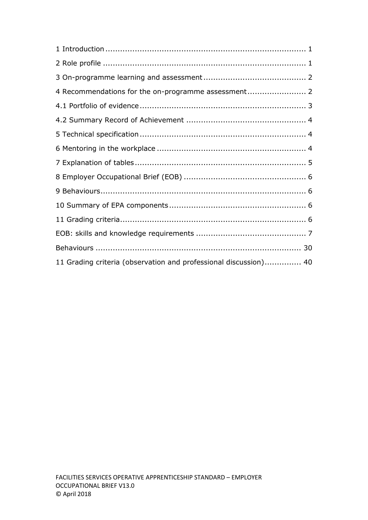| 4 Recommendations for the on-programme assessment 2              |  |
|------------------------------------------------------------------|--|
|                                                                  |  |
|                                                                  |  |
|                                                                  |  |
|                                                                  |  |
|                                                                  |  |
|                                                                  |  |
|                                                                  |  |
|                                                                  |  |
|                                                                  |  |
|                                                                  |  |
|                                                                  |  |
| 11 Grading criteria (observation and professional discussion) 40 |  |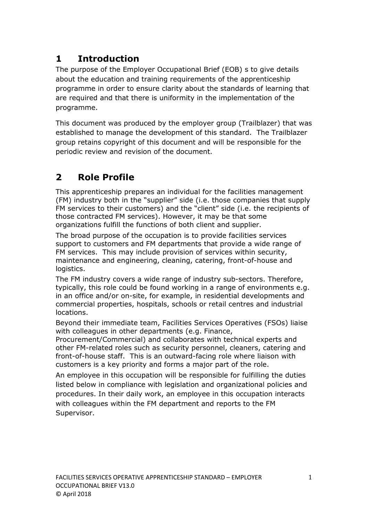# **1 Introduction**

The purpose of the Employer Occupational Brief (EOB) s to give details about the education and training requirements of the apprenticeship programme in order to ensure clarity about the standards of learning that are required and that there is uniformity in the implementation of the programme.

This document was produced by the employer group (Trailblazer) that was established to manage the development of this standard. The Trailblazer group retains copyright of this document and will be responsible for the periodic review and revision of the document.

# **2 Role Profile**

This apprenticeship prepares an individual for the facilities management (FM) industry both in the "supplier" side (i.e. those companies that supply FM services to their customers) and the "client" side (i.e. the recipients of those contracted FM services). However, it may be that some organizations fulfill the functions of both client and supplier.

The broad purpose of the occupation is to provide facilities services support to customers and FM departments that provide a wide range of FM services. This may include provision of services within security, maintenance and engineering, cleaning, catering, front-of-house and logistics.

The FM industry covers a wide range of industry sub-sectors. Therefore, typically, this role could be found working in a range of environments e.g. in an office and/or on-site, for example, in residential developments and commercial properties, hospitals, schools or retail centres and industrial locations.

Beyond their immediate team, Facilities Services Operatives (FSOs) liaise with colleagues in other departments (e.g. Finance,

Procurement/Commercial) and collaborates with technical experts and other FM-related roles such as security personnel, cleaners, catering and front-of-house staff. This is an outward-facing role where liaison with customers is a key priority and forms a major part of the role.

An employee in this occupation will be responsible for fulfilling the duties listed below in compliance with legislation and organizational policies and procedures. In their daily work, an employee in this occupation interacts with colleagues within the FM department and reports to the FM Supervisor.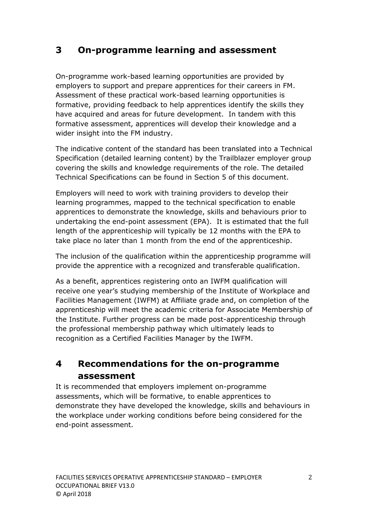### **3 On-programme learning and assessment**

On-programme work-based learning opportunities are provided by employers to support and prepare apprentices for their careers in FM. Assessment of these practical work-based learning opportunities is formative, providing feedback to help apprentices identify the skills they have acquired and areas for future development. In tandem with this formative assessment, apprentices will develop their knowledge and a wider insight into the FM industry.

The indicative content of the standard has been translated into a Technical Specification (detailed learning content) by the Trailblazer employer group covering the skills and knowledge requirements of the role. The detailed Technical Specifications can be found in Section 5 of this document.

Employers will need to work with training providers to develop their learning programmes, mapped to the technical specification to enable apprentices to demonstrate the knowledge, skills and behaviours prior to undertaking the end-point assessment (EPA). It is estimated that the full length of the apprenticeship will typically be 12 months with the EPA to take place no later than 1 month from the end of the apprenticeship.

The inclusion of the qualification within the apprenticeship programme will provide the apprentice with a recognized and transferable qualification.

As a benefit, apprentices registering onto an IWFM qualification will receive one year's studying membership of the Institute of Workplace and Facilities Management (IWFM) at Affiliate grade and, on completion of the apprenticeship will meet the academic criteria for Associate Membership of the Institute. Further progress can be made post-apprenticeship through the professional membership pathway which ultimately leads to recognition as a Certified Facilities Manager by the IWFM.

### **4 Recommendations for the on-programme assessment**

It is recommended that employers implement on-programme assessments, which will be formative, to enable apprentices to demonstrate they have developed the knowledge, skills and behaviours in the workplace under working conditions before being considered for the end-point assessment.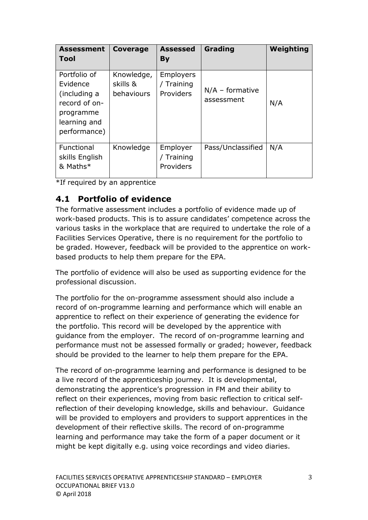| <b>Assessment</b><br>Tool                                                                              | Coverage                             | <b>Assessed</b><br><b>By</b>                | Grading                         | Weighting |
|--------------------------------------------------------------------------------------------------------|--------------------------------------|---------------------------------------------|---------------------------------|-----------|
| Portfolio of<br>Evidence<br>(including a<br>record of on-<br>programme<br>learning and<br>performance) | Knowledge,<br>skills &<br>behaviours | <b>Employers</b><br>/ Training<br>Providers | $N/A$ – formative<br>assessment | N/A       |
| Functional<br>skills English<br>& Maths*                                                               | Knowledge                            | Employer<br>Training<br>Providers           | Pass/Unclassified               | N/A       |

\*If required by an apprentice

### **4.1 Portfolio of evidence**

The formative assessment includes a portfolio of evidence made up of work-based products. This is to assure candidates' competence across the various tasks in the workplace that are required to undertake the role of a Facilities Services Operative, there is no requirement for the portfolio to be graded. However, feedback will be provided to the apprentice on workbased products to help them prepare for the EPA.

The portfolio of evidence will also be used as supporting evidence for the professional discussion.

The portfolio for the on-programme assessment should also include a record of on-programme learning and performance which will enable an apprentice to reflect on their experience of generating the evidence for the portfolio. This record will be developed by the apprentice with guidance from the employer. The record of on-programme learning and performance must not be assessed formally or graded; however, feedback should be provided to the learner to help them prepare for the EPA.

The record of on-programme learning and performance is designed to be a live record of the apprenticeship journey. It is developmental, demonstrating the apprentice's progression in FM and their ability to reflect on their experiences, moving from basic reflection to critical selfreflection of their developing knowledge, skills and behaviour. Guidance will be provided to employers and providers to support apprentices in the development of their reflective skills. The record of on-programme learning and performance may take the form of a paper document or it might be kept digitally e.g. using voice recordings and video diaries.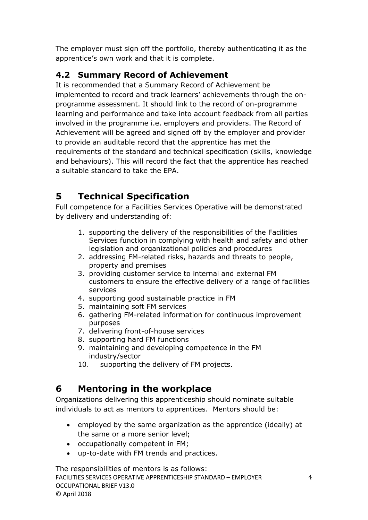The employer must sign off the portfolio, thereby authenticating it as the apprentice's own work and that it is complete.

### **4.2 Summary Record of Achievement**

It is recommended that a Summary Record of Achievement be implemented to record and track learners' achievements through the onprogramme assessment. It should link to the record of on-programme learning and performance and take into account feedback from all parties involved in the programme i.e. employers and providers. The Record of Achievement will be agreed and signed off by the employer and provider to provide an auditable record that the apprentice has met the requirements of the standard and technical specification (skills, knowledge and behaviours). This will record the fact that the apprentice has reached a suitable standard to take the EPA.

## **5 Technical Specification**

Full competence for a Facilities Services Operative will be demonstrated by delivery and understanding of:

- 1. supporting the delivery of the responsibilities of the Facilities Services function in complying with health and safety and other legislation and organizational policies and procedures
- 2. addressing FM-related risks, hazards and threats to people, property and premises
- 3. providing customer service to internal and external FM customers to ensure the effective delivery of a range of facilities services
- 4. supporting good sustainable practice in FM
- 5. maintaining soft FM services
- 6. gathering FM-related information for continuous improvement purposes
- 7. delivering front-of-house services
- 8. supporting hard FM functions
- 9. maintaining and developing competence in the FM industry/sector
- 10. supporting the delivery of FM projects.

## **6 Mentoring in the workplace**

Organizations delivering this apprenticeship should nominate suitable individuals to act as mentors to apprentices. Mentors should be:

- employed by the same organization as the apprentice (ideally) at the same or a more senior level;
- occupationally competent in FM;
- up-to-date with FM trends and practices.

FACILITIES SERVICES OPERATIVE APPRENTICESHIP STANDARD – EMPLOYER OCCUPATIONAL BRIEF V13.0 © April 2018 The responsibilities of mentors is as follows: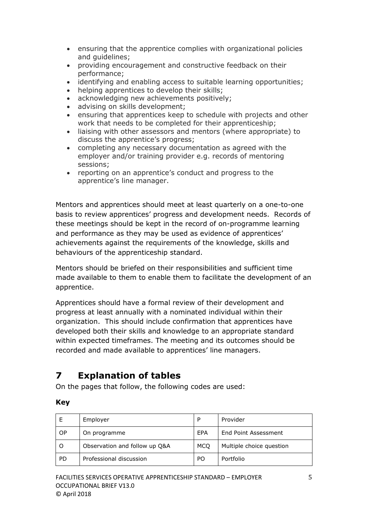- ensuring that the apprentice complies with organizational policies and guidelines;
- providing encouragement and constructive feedback on their performance;
- identifying and enabling access to suitable learning opportunities;
- helping apprentices to develop their skills;
- acknowledging new achievements positively;
- advising on skills development;
- ensuring that apprentices keep to schedule with projects and other work that needs to be completed for their apprenticeship;
- liaising with other assessors and mentors (where appropriate) to discuss the apprentice's progress;
- completing any necessary documentation as agreed with the employer and/or training provider e.g. records of mentoring sessions;
- reporting on an apprentice's conduct and progress to the apprentice's line manager.

Mentors and apprentices should meet at least quarterly on a one-to-one basis to review apprentices' progress and development needs. Records of these meetings should be kept in the record of on-programme learning and performance as they may be used as evidence of apprentices' achievements against the requirements of the knowledge, skills and behaviours of the apprenticeship standard.

Mentors should be briefed on their responsibilities and sufficient time made available to them to enable them to facilitate the development of an apprentice.

Apprentices should have a formal review of their development and progress at least annually with a nominated individual within their organization. This should include confirmation that apprentices have developed both their skills and knowledge to an appropriate standard within expected timeframes. The meeting and its outcomes should be recorded and made available to apprentices' line managers.

# **7 Explanation of tables**

On the pages that follow, the following codes are used:

#### **Key**

| E         | Employer                      | P          | Provider                 |
|-----------|-------------------------------|------------|--------------------------|
| <b>OP</b> | On programme                  | EPA        | End Point Assessment     |
| O         | Observation and follow up Q&A | <b>MCQ</b> | Multiple choice question |
| <b>PD</b> | Professional discussion       | PO         | Portfolio                |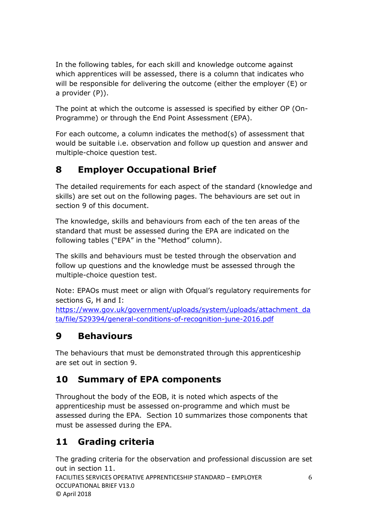In the following tables, for each skill and knowledge outcome against which apprentices will be assessed, there is a column that indicates who will be responsible for delivering the outcome (either the employer (E) or a provider (P)).

The point at which the outcome is assessed is specified by either OP (On-Programme) or through the End Point Assessment (EPA).

For each outcome, a column indicates the method(s) of assessment that would be suitable i.e. observation and follow up question and answer and multiple-choice question test.

## **8 Employer Occupational Brief**

The detailed requirements for each aspect of the standard (knowledge and skills) are set out on the following pages. The behaviours are set out in section 9 of this document.

The knowledge, skills and behaviours from each of the ten areas of the standard that must be assessed during the EPA are indicated on the following tables ("EPA" in the "Method" column).

The skills and behaviours must be tested through the observation and follow up questions and the knowledge must be assessed through the multiple-choice question test.

Note: EPAOs must meet or align with Ofqual's regulatory requirements for sections G, H and I:

[https://www.gov.uk/government/uploads/system/uploads/attachment\\_da](https://www.gov.uk/government/uploads/system/uploads/attachment_data/file/529394/general-conditions-of-recognition-june-2016.pdf) [ta/file/529394/general-conditions-of-recognition-june-2016.pdf](https://www.gov.uk/government/uploads/system/uploads/attachment_data/file/529394/general-conditions-of-recognition-june-2016.pdf)

### **9 Behaviours**

The behaviours that must be demonstrated through this apprenticeship are set out in section 9.

### **10 Summary of EPA components**

Throughout the body of the EOB, it is noted which aspects of the apprenticeship must be assessed on-programme and which must be assessed during the EPA. Section 10 summarizes those components that must be assessed during the EPA.

## **11 Grading criteria**

FACILITIES SERVICES OPERATIVE APPRENTICESHIP STANDARD – EMPLOYER OCCUPATIONAL BRIEF V13.0 © April 2018 6 The grading criteria for the observation and professional discussion are set out in section 11.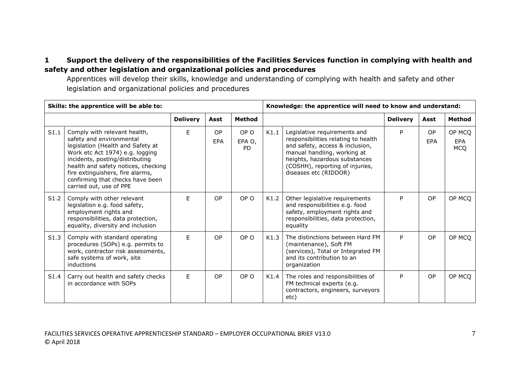#### **1 Support the delivery of the responsibilities of the Facilities Services function in complying with health and safety and other legislation and organizational policies and procedures**

Apprentices will develop their skills, knowledge and understanding of complying with health and safety and other legislation and organizational policies and procedures

|      | Skills: the apprentice will be able to:<br><b>Delivery</b><br>Asst<br>Comply with relevant health,<br>Е<br><b>OP</b><br>safety and environmental<br>EPA<br>legislation (Health and Safety at<br>Work etc Act 1974) e.g. logging<br>incidents, posting/distributing<br>health and safety notices, checking<br>fire extinguishers, fire alarms,<br>confirming that checks have been<br>carried out, use of PPE<br>Comply with other relevant<br>F.<br><b>OP</b><br>legislation e.g. food safety,<br>employment rights and<br>responsibilities, data protection,<br>equality, diversity and inclusion<br>F<br>OP<br>Comply with standard operating<br>procedures (SOPs) e.g. permits to<br>work, contractor risk assessments,<br>safe systems of work, site<br>inductions<br>Е<br>Carry out health and safety checks<br><b>OP</b><br>in accordance with SOPs |  |  |                             |      | Knowledge: the apprentice will need to know and understand:                                                                                                                                                                        |                 |                   |                             |
|------|-----------------------------------------------------------------------------------------------------------------------------------------------------------------------------------------------------------------------------------------------------------------------------------------------------------------------------------------------------------------------------------------------------------------------------------------------------------------------------------------------------------------------------------------------------------------------------------------------------------------------------------------------------------------------------------------------------------------------------------------------------------------------------------------------------------------------------------------------------------|--|--|-----------------------------|------|------------------------------------------------------------------------------------------------------------------------------------------------------------------------------------------------------------------------------------|-----------------|-------------------|-----------------------------|
|      |                                                                                                                                                                                                                                                                                                                                                                                                                                                                                                                                                                                                                                                                                                                                                                                                                                                           |  |  | <b>Method</b>               |      |                                                                                                                                                                                                                                    | <b>Delivery</b> | Asst              | <b>Method</b>               |
| S1.1 |                                                                                                                                                                                                                                                                                                                                                                                                                                                                                                                                                                                                                                                                                                                                                                                                                                                           |  |  | OP O<br>EPA O,<br><b>PD</b> | K1.1 | Legislative requirements and<br>responsibilities relating to health<br>and safety, access & inclusion,<br>manual handling, working at<br>heights, hazardous substances<br>(COSHH), reporting of injuries,<br>diseases etc (RIDDOR) | P               | OP.<br><b>EPA</b> | OP MCQ<br><b>EPA</b><br>MCQ |
| S1.2 |                                                                                                                                                                                                                                                                                                                                                                                                                                                                                                                                                                                                                                                                                                                                                                                                                                                           |  |  | OP O                        | K1.2 | Other legislative requirements<br>and responsibilities e.g. food<br>safety, employment rights and<br>responsibilities, data protection,<br>equality                                                                                | P               | <b>OP</b>         | OP MCQ                      |
| S1.3 |                                                                                                                                                                                                                                                                                                                                                                                                                                                                                                                                                                                                                                                                                                                                                                                                                                                           |  |  | OP O                        | K1.3 | The distinctions between Hard FM<br>(maintenance), Soft FM<br>(services), Total or Integrated FM<br>and its contribution to an<br>organization                                                                                     | P               | OP                | OP MCQ                      |
| S1.4 |                                                                                                                                                                                                                                                                                                                                                                                                                                                                                                                                                                                                                                                                                                                                                                                                                                                           |  |  | OP O                        | K1.4 | The roles and responsibilities of<br>FM technical experts (e.g.<br>contractors, engineers, surveyors<br>etc)                                                                                                                       | P               | OP                | OP MCQ                      |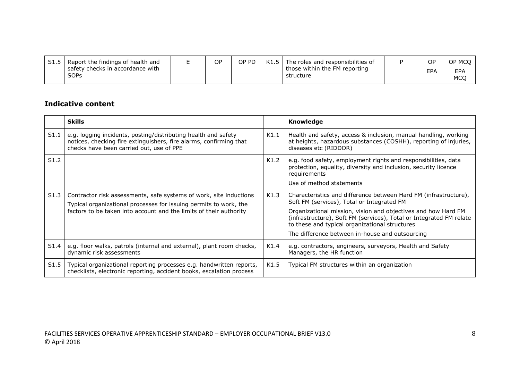| S1.5 | Report the findings of health and               | ОP | OP PD | K1.5 | The roles and responsibilities of          | ОP  | OP MCO            |
|------|-------------------------------------------------|----|-------|------|--------------------------------------------|-----|-------------------|
|      | safety checks in accordance with<br><b>SOPS</b> |    |       |      | those within the FM reporting<br>structure | EPA | EPA<br><b>MCC</b> |

|      | <b>Skills</b>                                                                                                                                                                                                 |      | Knowledge                                                                                                                                                                                                                                                                                                                                                   |
|------|---------------------------------------------------------------------------------------------------------------------------------------------------------------------------------------------------------------|------|-------------------------------------------------------------------------------------------------------------------------------------------------------------------------------------------------------------------------------------------------------------------------------------------------------------------------------------------------------------|
| S1.1 | e.g. logging incidents, posting/distributing health and safety<br>notices, checking fire extinguishers, fire alarms, confirming that<br>checks have been carried out, use of PPE                              | K1.1 | Health and safety, access & inclusion, manual handling, working<br>at heights, hazardous substances (COSHH), reporting of injuries,<br>diseases etc (RIDDOR)                                                                                                                                                                                                |
| S1.2 |                                                                                                                                                                                                               | K1.2 | e.g. food safety, employment rights and responsibilities, data<br>protection, equality, diversity and inclusion, security licence<br>requirements<br>Use of method statements                                                                                                                                                                               |
| S1.3 | Contractor risk assessments, safe systems of work, site inductions<br>Typical organizational processes for issuing permits to work, the<br>factors to be taken into account and the limits of their authority | K1.3 | Characteristics and difference between Hard FM (infrastructure),<br>Soft FM (services), Total or Integrated FM<br>Organizational mission, vision and objectives and how Hard FM<br>(infrastructure), Soft FM (services), Total or Integrated FM relate<br>to these and typical organizational structures<br>The difference between in-house and outsourcing |
| S1.4 | e.g. floor walks, patrols (internal and external), plant room checks,<br>dynamic risk assessments                                                                                                             | K1.4 | e.g. contractors, engineers, surveyors, Health and Safety<br>Managers, the HR function                                                                                                                                                                                                                                                                      |
| S1.5 | Typical organizational reporting processes e.g. handwritten reports,<br>checklists, electronic reporting, accident books, escalation process                                                                  | K1.5 | Typical FM structures within an organization                                                                                                                                                                                                                                                                                                                |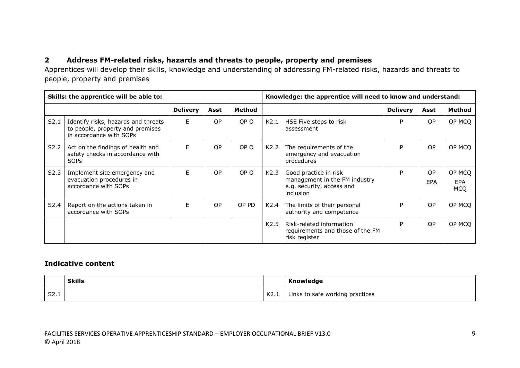#### **2 Address FM-related risks, hazards and threats to people, property and premises**

Apprentices will develop their skills, knowledge and understanding of addressing FM-related risks, hazards and threats to people, property and premises

|      | Skills: the apprentice will be able to:<br><b>Delivery</b><br>Asst<br>S2.1<br>F.<br><b>OP</b><br>Identify risks, hazards and threats<br>to people, property and premises<br>in accordance with SOPs |    |           |        |                   | Knowledge: the apprentice will need to know and understand:                                      |                 |                         |                                    |
|------|-----------------------------------------------------------------------------------------------------------------------------------------------------------------------------------------------------|----|-----------|--------|-------------------|--------------------------------------------------------------------------------------------------|-----------------|-------------------------|------------------------------------|
|      |                                                                                                                                                                                                     |    |           | Method |                   |                                                                                                  | <b>Delivery</b> | Asst                    | <b>Method</b>                      |
|      |                                                                                                                                                                                                     |    |           | OP O   | K2.1              | HSE Five steps to risk<br>assessment                                                             | P               | <b>OP</b>               | OP MCQ                             |
| S2.2 | Act on the findings of health and<br>safety checks in accordance with<br><b>SOPS</b>                                                                                                                | Е  | OP        | OP O   | K2.2              | The requirements of the<br>emergency and evacuation<br>procedures                                | P               | <b>OP</b>               | OP MCQ                             |
| S2.3 | Implement site emergency and<br>evacuation procedures in<br>accordance with SOPs                                                                                                                    | F. | <b>OP</b> | OP O   | K2.3              | Good practice in risk<br>management in the FM industry<br>e.g. security, access and<br>inclusion | P               | <b>OP</b><br><b>EPA</b> | OP MCQ<br><b>EPA</b><br><b>MCQ</b> |
| S2.4 | Report on the actions taken in<br>accordance with SOPs                                                                                                                                              | F  | OP        | OP PD  | K2.4              | The limits of their personal<br>authority and competence                                         | P               | OP                      | OP MCQ                             |
|      |                                                                                                                                                                                                     |    |           |        | K <sub>2</sub> .5 | Risk-related information<br>requirements and those of the FM<br>risk register                    | P               | OP                      | OP MCQ                             |

|      | <b>Skills</b> |      | Knowledge                       |
|------|---------------|------|---------------------------------|
| S2.1 |               | K2.1 | Links to safe working practices |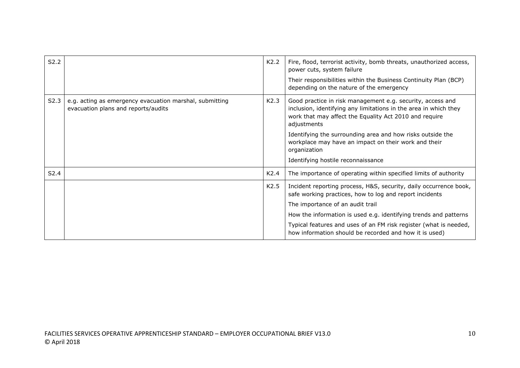| S2.2             |                                                                                                | K2.2 | Fire, flood, terrorist activity, bomb threats, unauthorized access,<br>power cuts, system failure<br>Their responsibilities within the Business Continuity Plan (BCP)<br>depending on the nature of the emergency |
|------------------|------------------------------------------------------------------------------------------------|------|-------------------------------------------------------------------------------------------------------------------------------------------------------------------------------------------------------------------|
| S <sub>2.3</sub> | e.g. acting as emergency evacuation marshal, submitting<br>evacuation plans and reports/audits | K2.3 | Good practice in risk management e.g. security, access and<br>inclusion, identifying any limitations in the area in which they<br>work that may affect the Equality Act 2010 and require<br>adjustments           |
|                  |                                                                                                |      | Identifying the surrounding area and how risks outside the<br>workplace may have an impact on their work and their<br>organization                                                                                |
|                  |                                                                                                |      | Identifying hostile reconnaissance                                                                                                                                                                                |
| S2.4             |                                                                                                | K2.4 | The importance of operating within specified limits of authority                                                                                                                                                  |
|                  |                                                                                                | K2.5 | Incident reporting process, H&S, security, daily occurrence book,<br>safe working practices, how to log and report incidents                                                                                      |
|                  |                                                                                                |      | The importance of an audit trail                                                                                                                                                                                  |
|                  |                                                                                                |      | How the information is used e.g. identifying trends and patterns                                                                                                                                                  |
|                  |                                                                                                |      | Typical features and uses of an FM risk register (what is needed,<br>how information should be recorded and how it is used)                                                                                       |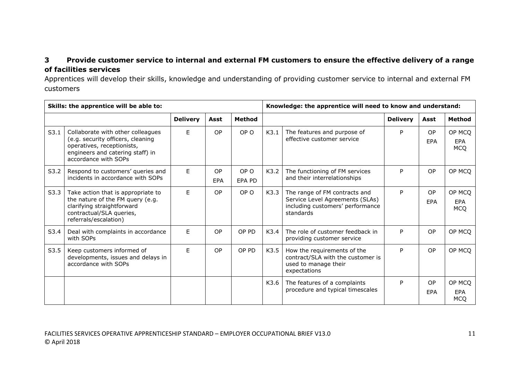#### **3 Provide customer service to internal and external FM customers to ensure the effective delivery of a range of facilities services**

Apprentices will develop their skills, knowledge and understanding of providing customer service to internal and external FM customers

|      | Skills: the apprentice will be able to:<br><b>Delivery</b><br>Asst<br>E.<br>S3.1<br><b>OP</b><br>Collaborate with other colleagues<br>(e.g. security officers, cleaning<br>operatives, receptionists,<br>engineers and catering staff) in<br>accordance with SOPs<br>F.<br><b>OP</b><br>S3.2<br>Respond to customers' queries and<br>incidents in accordance with SOPs<br>EPA<br>E.<br><b>OP</b><br>S3.3<br>Take action that is appropriate to |    |           |                |      | Knowledge: the apprentice will need to know and understand:                                                       |                 |                         |                                    |
|------|------------------------------------------------------------------------------------------------------------------------------------------------------------------------------------------------------------------------------------------------------------------------------------------------------------------------------------------------------------------------------------------------------------------------------------------------|----|-----------|----------------|------|-------------------------------------------------------------------------------------------------------------------|-----------------|-------------------------|------------------------------------|
|      |                                                                                                                                                                                                                                                                                                                                                                                                                                                |    |           | <b>Method</b>  |      |                                                                                                                   | <b>Delivery</b> | Asst                    | Method                             |
|      |                                                                                                                                                                                                                                                                                                                                                                                                                                                |    |           | OP O           | K3.1 | The features and purpose of<br>effective customer service                                                         | P               | <b>OP</b><br><b>EPA</b> | OP MCQ<br><b>EPA</b><br><b>MCQ</b> |
|      |                                                                                                                                                                                                                                                                                                                                                                                                                                                |    |           | OP O<br>EPA PD | K3.2 | The functioning of FM services<br>and their interrelationships                                                    | P               | <b>OP</b>               | OP MCQ                             |
|      | the nature of the FM query (e.g.<br>clarifying straightforward<br>contractual/SLA queries,<br>referrals/escalation)                                                                                                                                                                                                                                                                                                                            |    |           | OP O           | K3.3 | The range of FM contracts and<br>Service Level Agreements (SLAs)<br>including customers' performance<br>standards | P               | <b>OP</b><br><b>EPA</b> | OP MCQ<br><b>EPA</b><br><b>MCQ</b> |
| S3.4 | Deal with complaints in accordance<br>with SOPs                                                                                                                                                                                                                                                                                                                                                                                                | F. | <b>OP</b> | OP PD          | K3.4 | The role of customer feedback in<br>providing customer service                                                    | P               | <b>OP</b>               | OP MCQ                             |
| S3.5 | Keep customers informed of<br>developments, issues and delays in<br>accordance with SOPs                                                                                                                                                                                                                                                                                                                                                       | F. | OP        | OP PD          | K3.5 | How the requirements of the<br>contract/SLA with the customer is<br>used to manage their<br>expectations          | P               | <b>OP</b>               | OP MCQ                             |
|      |                                                                                                                                                                                                                                                                                                                                                                                                                                                |    |           |                | K3.6 | The features of a complaints<br>procedure and typical timescales                                                  | P               | <b>OP</b><br>EPA        | OP MCQ<br><b>EPA</b><br><b>MCQ</b> |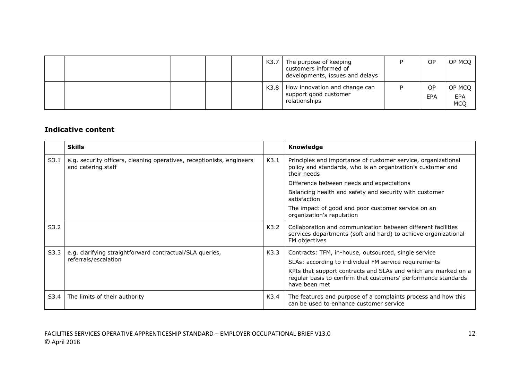|  |  |  | $K3.7$ The purpose of keeping<br>customers informed of<br>developments, issues and delays | ОP        | OP MCQ                      |
|--|--|--|-------------------------------------------------------------------------------------------|-----------|-----------------------------|
|  |  |  | $K3.8$   How innovation and change can<br>support good customer<br>relationships          | ОP<br>EPA | OP MCQ<br>EPA<br><b>MCQ</b> |

|      | <b>Skills</b>                                                                                       |      | <b>Knowledge</b>                                                                                                                                  |
|------|-----------------------------------------------------------------------------------------------------|------|---------------------------------------------------------------------------------------------------------------------------------------------------|
| S3.1 | K3.1<br>e.g. security officers, cleaning operatives, receptionists, engineers<br>and catering staff |      | Principles and importance of customer service, organizational<br>policy and standards, who is an organization's customer and<br>their needs       |
|      |                                                                                                     |      | Difference between needs and expectations                                                                                                         |
|      |                                                                                                     |      | Balancing health and safety and security with customer<br>satisfaction                                                                            |
|      |                                                                                                     |      | The impact of good and poor customer service on an<br>organization's reputation                                                                   |
| S3.2 |                                                                                                     | K3.2 | Collaboration and communication between different facilities<br>services departments (soft and hard) to achieve organizational<br>FM objectives   |
| S3.3 | e.g. clarifying straightforward contractual/SLA queries,                                            | K3.3 | Contracts: TFM, in-house, outsourced, single service                                                                                              |
|      | referrals/escalation                                                                                |      | SLAs: according to individual FM service requirements                                                                                             |
|      |                                                                                                     |      | KPIs that support contracts and SLAs and which are marked on a<br>regular basis to confirm that customers' performance standards<br>have been met |
| S3.4 | The limits of their authority                                                                       | K3.4 | The features and purpose of a complaints process and how this<br>can be used to enhance customer service                                          |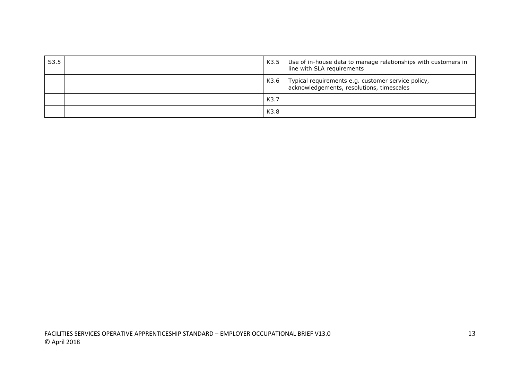| S3.5 | K3.5 | Use of in-house data to manage relationships with customers in<br>line with SLA requirements    |
|------|------|-------------------------------------------------------------------------------------------------|
|      | K3.6 | Typical requirements e.g. customer service policy,<br>acknowledgements, resolutions, timescales |
|      | K3.7 |                                                                                                 |
|      | K3.8 |                                                                                                 |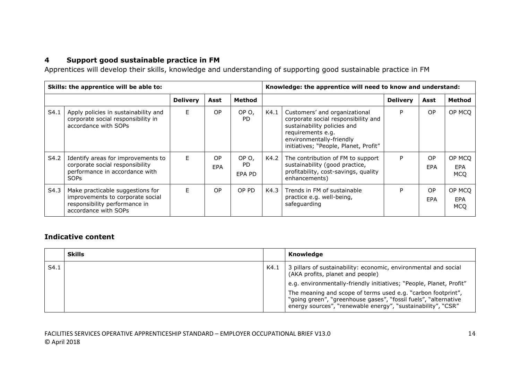#### **4 Support good sustainable practice in FM**

Apprentices will develop their skills, knowledge and understanding of supporting good sustainable practice in FM

|      | Skills: the apprentice will be able to:                                                                                       |                 |                         |                        | Knowledge: the apprentice will need to know and understand: |                                                                                                                                                                                               |                 |                              |                                    |
|------|-------------------------------------------------------------------------------------------------------------------------------|-----------------|-------------------------|------------------------|-------------------------------------------------------------|-----------------------------------------------------------------------------------------------------------------------------------------------------------------------------------------------|-----------------|------------------------------|------------------------------------|
|      |                                                                                                                               | <b>Delivery</b> | Asst                    | Method                 |                                                             |                                                                                                                                                                                               | <b>Delivery</b> | Asst                         | Method                             |
| S4.1 | Apply policies in sustainability and<br>corporate social responsibility in<br>accordance with SOPs                            | F.              | <b>OP</b>               | OP O,<br>PD.           | K4.1                                                        | Customers' and organizational<br>corporate social responsibility and<br>sustainability policies and<br>requirements e.g.<br>environmentally-friendly<br>initiatives; "People, Planet, Profit" | P               | O <sub>P</sub>               | OP MCQ                             |
| S4.2 | Identify areas for improvements to<br>corporate social responsibility<br>performance in accordance with<br><b>SOPS</b>        | E               | <b>OP</b><br><b>EPA</b> | OP O,<br>PD.<br>EPA PD | K4.2                                                        | The contribution of FM to support<br>sustainability (good practice,<br>profitability, cost-savings, quality<br>enhancements)                                                                  | P               | O <sub>P</sub><br><b>EPA</b> | OP MCQ<br><b>FPA</b><br><b>MCQ</b> |
| S4.3 | Make practicable suggestions for<br>improvements to corporate social<br>responsibility performance in<br>accordance with SOPs | F.              | O <sub>P</sub>          | OP PD                  | K4.3                                                        | Trends in FM of sustainable<br>practice e.g. well-being,<br>safeguarding                                                                                                                      | P               | O <sub>P</sub><br><b>EPA</b> | OP MCQ<br>EPA<br><b>MCQ</b>        |

|      | <b>Skills</b> |      | Knowledge                                                                                                                                                                                                                                                                                                                                                                      |
|------|---------------|------|--------------------------------------------------------------------------------------------------------------------------------------------------------------------------------------------------------------------------------------------------------------------------------------------------------------------------------------------------------------------------------|
| S4.1 |               | K4.1 | 3 pillars of sustainability: economic, environmental and social<br>(AKA profits, planet and people)<br>e.g. environmentally-friendly initiatives; "People, Planet, Profit"<br>The meaning and scope of terms used e.g. "carbon footprint",<br>"going green", "greenhouse gases", "fossil fuels", "alternative"<br>energy sources", "renewable energy", "sustainability", "CSR" |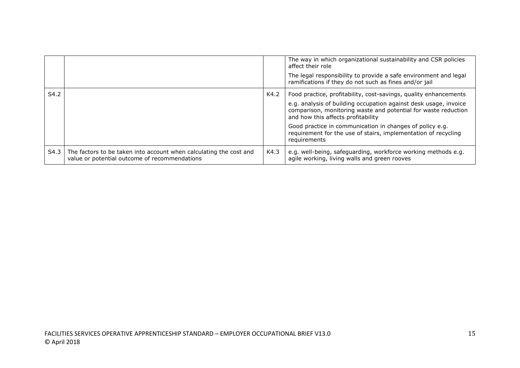|      |                                                                                                                     |      | The way in which organizational sustainability and CSR policies<br>affect their role                                                                                     |
|------|---------------------------------------------------------------------------------------------------------------------|------|--------------------------------------------------------------------------------------------------------------------------------------------------------------------------|
|      |                                                                                                                     |      | The legal responsibility to provide a safe environment and legal<br>ramifications if they do not such as fines and/or jail                                               |
| S4.2 |                                                                                                                     | K4.2 | Food practice, profitability, cost-savings, quality enhancements                                                                                                         |
|      |                                                                                                                     |      | e.g. analysis of building occupation against desk usage, invoice<br>comparison, monitoring waste and potential for waste reduction<br>and how this affects profitability |
|      |                                                                                                                     |      | Good practice in communication in changes of policy e.g.<br>requirement for the use of stairs, implementation of recycling<br>requirements                               |
| S4.3 | The factors to be taken into account when calculating the cost and<br>value or potential outcome of recommendations | K4.3 | e.g. well-being, safeguarding, workforce working methods e.g.<br>agile working, living walls and green rooves                                                            |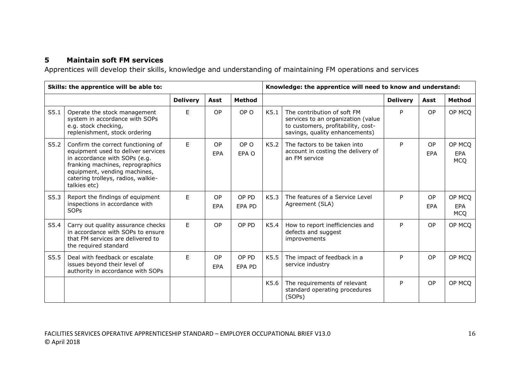#### **5 Maintain soft FM services**

Apprentices will develop their skills, knowledge and understanding of maintaining FM operations and services

|      | Skills: the apprentice will be able to:                                                                                                                                                                                             | <b>Delivery</b><br><b>Asst</b><br>E.<br>OP |                         |                 |      | Knowledge: the apprentice will need to know and understand:                                                                               |                 |                         |                                    |
|------|-------------------------------------------------------------------------------------------------------------------------------------------------------------------------------------------------------------------------------------|--------------------------------------------|-------------------------|-----------------|------|-------------------------------------------------------------------------------------------------------------------------------------------|-----------------|-------------------------|------------------------------------|
|      |                                                                                                                                                                                                                                     |                                            |                         | Method          |      |                                                                                                                                           | <b>Delivery</b> | Asst                    | <b>Method</b>                      |
| S5.1 | Operate the stock management<br>system in accordance with SOPs<br>e.g. stock checking,<br>replenishment, stock ordering                                                                                                             |                                            |                         | OP O            | K5.1 | The contribution of soft FM<br>services to an organization (value<br>to customers, profitability, cost-<br>savings, quality enhancements) | P               | <b>OP</b>               | OP MCQ                             |
| S5.2 | Confirm the correct functioning of<br>equipment used to deliver services<br>in accordance with SOPs (e.g.<br>franking machines, reprographics<br>equipment, vending machines,<br>catering trolleys, radios, walkie-<br>talkies etc) | E.                                         | OP<br><b>EPA</b>        | OP O<br>EPA O   | K5.2 | The factors to be taken into<br>account in costing the delivery of<br>an FM service                                                       | P               | <b>OP</b><br><b>EPA</b> | OP MCO<br>EPA<br><b>MCQ</b>        |
| S5.3 | Report the findings of equipment<br>inspections in accordance with<br><b>SOPs</b>                                                                                                                                                   | F.                                         | <b>OP</b><br><b>EPA</b> | OP PD<br>EPA PD | K5.3 | The features of a Service Level<br>Agreement (SLA)                                                                                        | P               | OP.<br>EPA              | OP MCQ<br><b>EPA</b><br><b>MCQ</b> |
| S5.4 | Carry out quality assurance checks<br>in accordance with SOPs to ensure<br>that FM services are delivered to<br>the required standard                                                                                               | F.                                         | OP                      | OP PD           | K5.4 | How to report inefficiencies and<br>defects and suggest<br>improvements                                                                   | P               | <b>OP</b>               | OP MCO                             |
| S5.5 | Deal with feedback or escalate<br>issues beyond their level of<br>authority in accordance with SOPs                                                                                                                                 | F.                                         | OP<br>EPA               | OP PD<br>EPA PD | K5.5 | The impact of feedback in a<br>service industry                                                                                           | P               | <b>OP</b>               | OP MCO                             |
|      |                                                                                                                                                                                                                                     |                                            |                         |                 | K5.6 | The requirements of relevant<br>standard operating procedures<br>(SOPs)                                                                   | P               | <b>OP</b>               | OP MCQ                             |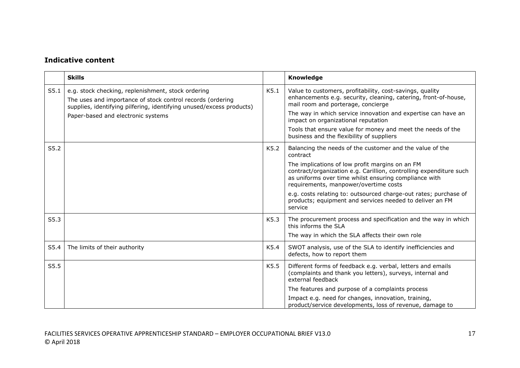|      | <b>Skills</b>                                                                                                                                                                            |      | Knowledge                                                                                                                                                                                                               |
|------|------------------------------------------------------------------------------------------------------------------------------------------------------------------------------------------|------|-------------------------------------------------------------------------------------------------------------------------------------------------------------------------------------------------------------------------|
| S5.1 | e.g. stock checking, replenishment, stock ordering<br>The uses and importance of stock control records (ordering<br>supplies, identifying pilfering, identifying unused/excess products) | K5.1 | Value to customers, profitability, cost-savings, quality<br>enhancements e.g. security, cleaning, catering, front-of-house,<br>mail room and porterage, concierge                                                       |
|      | Paper-based and electronic systems                                                                                                                                                       |      | The way in which service innovation and expertise can have an<br>impact on organizational reputation                                                                                                                    |
|      |                                                                                                                                                                                          |      | Tools that ensure value for money and meet the needs of the<br>business and the flexibility of suppliers                                                                                                                |
| S5.2 |                                                                                                                                                                                          | K5.2 | Balancing the needs of the customer and the value of the<br>contract                                                                                                                                                    |
|      |                                                                                                                                                                                          |      | The implications of low profit margins on an FM<br>contract/organization e.g. Carillion, controlling expenditure such<br>as uniforms over time whilst ensuring compliance with<br>requirements, manpower/overtime costs |
|      |                                                                                                                                                                                          |      | e.g. costs relating to: outsourced charge-out rates; purchase of<br>products; equipment and services needed to deliver an FM<br>service                                                                                 |
| S5.3 |                                                                                                                                                                                          | K5.3 | The procurement process and specification and the way in which<br>this informs the SLA                                                                                                                                  |
|      |                                                                                                                                                                                          |      | The way in which the SLA affects their own role                                                                                                                                                                         |
| S5.4 | The limits of their authority                                                                                                                                                            | K5.4 | SWOT analysis, use of the SLA to identify inefficiencies and<br>defects, how to report them                                                                                                                             |
| S5.5 |                                                                                                                                                                                          | K5.5 | Different forms of feedback e.g. verbal, letters and emails<br>(complaints and thank you letters), surveys, internal and<br>external feedback                                                                           |
|      |                                                                                                                                                                                          |      | The features and purpose of a complaints process                                                                                                                                                                        |
|      |                                                                                                                                                                                          |      | Impact e.g. need for changes, innovation, training,<br>product/service developments, loss of revenue, damage to                                                                                                         |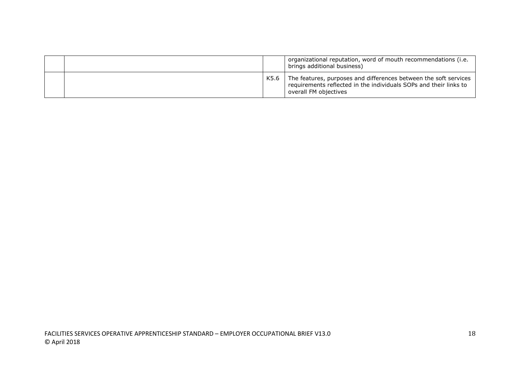|  |      | organizational reputation, word of mouth recommendations (i.e.<br>brings additional business)                                                                  |
|--|------|----------------------------------------------------------------------------------------------------------------------------------------------------------------|
|  | K5.6 | The features, purposes and differences between the soft services<br>requirements reflected in the individuals SOPs and their links to<br>overall FM objectives |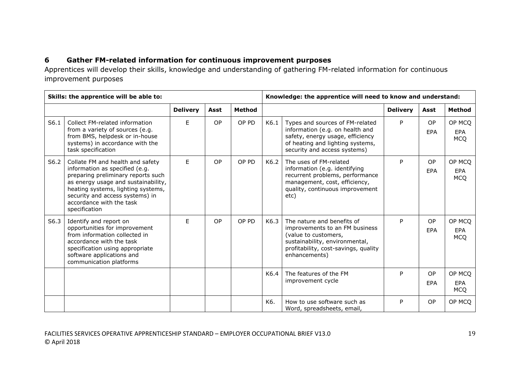#### **6 Gather FM-related information for continuous improvement purposes**

Apprentices will develop their skills, knowledge and understanding of gathering FM-related information for continuous improvement purposes

|      | Skills: the apprentice will be able to:                                                                                                                                                                                                                               |                 | Knowledge: the apprentice will need to know and understand: |               | Asst<br>P<br>OP<br><b>EPA</b><br>P<br><b>OP</b><br><b>EPA</b><br>P<br>OP<br><b>EPA</b> |                                                                                                                                                                                 |                 |           |                                    |
|------|-----------------------------------------------------------------------------------------------------------------------------------------------------------------------------------------------------------------------------------------------------------------------|-----------------|-------------------------------------------------------------|---------------|----------------------------------------------------------------------------------------|---------------------------------------------------------------------------------------------------------------------------------------------------------------------------------|-----------------|-----------|------------------------------------|
|      |                                                                                                                                                                                                                                                                       | <b>Delivery</b> | Asst                                                        | <b>Method</b> |                                                                                        |                                                                                                                                                                                 | <b>Delivery</b> |           | <b>Method</b>                      |
| S6.1 | Collect FM-related information<br>from a variety of sources (e.g.<br>from BMS, helpdesk or in-house<br>systems) in accordance with the<br>task specification                                                                                                          | F.              | OP                                                          | OP PD         | K6.1                                                                                   | Types and sources of FM-related<br>information (e.g. on health and<br>safety, energy usage, efficiency<br>of heating and lighting systems,<br>security and access systems)      |                 |           | OP MCQ<br><b>EPA</b><br><b>MCQ</b> |
| S6.2 | Collate FM and health and safety<br>information as specified (e.g.<br>preparing preliminary reports such<br>as energy usage and sustainability,<br>heating systems, lighting systems,<br>security and access systems) in<br>accordance with the task<br>specification | E               | OP                                                          | OP PD         | K6.2                                                                                   | The uses of FM-related<br>information (e.g. identifying<br>recurrent problems, performance<br>management, cost, efficiency,<br>quality, continuous improvement<br>etc)          |                 |           | OP MCQ<br><b>EPA</b><br><b>MCQ</b> |
| S6.3 | Identify and report on<br>opportunities for improvement<br>from information collected in<br>accordance with the task<br>specification using appropriate<br>software applications and<br>communication platforms                                                       | E               | OP                                                          | OP PD         | K6.3                                                                                   | The nature and benefits of<br>improvements to an FM business<br>(value to customers,<br>sustainability, environmental,<br>profitability, cost-savings, quality<br>enhancements) |                 |           | OP MCQ<br><b>EPA</b><br><b>MCQ</b> |
|      |                                                                                                                                                                                                                                                                       |                 |                                                             |               | K6.4                                                                                   | The features of the FM<br>improvement cycle                                                                                                                                     | P               | OP<br>EPA | OP MCQ<br><b>EPA</b><br><b>MCQ</b> |
|      |                                                                                                                                                                                                                                                                       |                 |                                                             |               | K6.                                                                                    | How to use software such as<br>Word, spreadsheets, email,                                                                                                                       | P               | OP        | OP MCQ                             |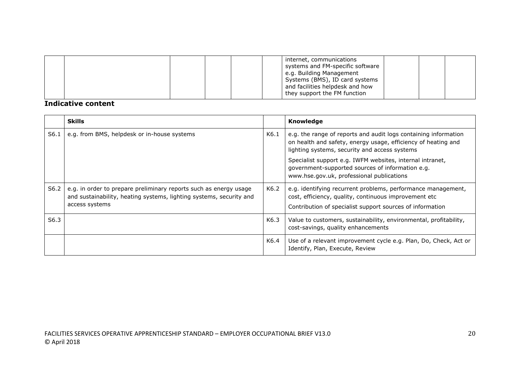| internet, communications<br>systems and FM-specific software<br>e.g. Building Management<br>Systems (BMS), ID card systems<br>and facilities helpdesk and how<br>they support the FM function |  |  |
|-----------------------------------------------------------------------------------------------------------------------------------------------------------------------------------------------|--|--|
|-----------------------------------------------------------------------------------------------------------------------------------------------------------------------------------------------|--|--|

|      | <b>Skills</b>                                                                                                                                              |      | Knowledge                                                                                                                                                                          |
|------|------------------------------------------------------------------------------------------------------------------------------------------------------------|------|------------------------------------------------------------------------------------------------------------------------------------------------------------------------------------|
| S6.1 | e.g. from BMS, helpdesk or in-house systems<br>K6.1                                                                                                        |      | e.g. the range of reports and audit logs containing information<br>on health and safety, energy usage, efficiency of heating and<br>lighting systems, security and access systems  |
|      |                                                                                                                                                            |      | Specialist support e.g. IWFM websites, internal intranet,<br>government-supported sources of information e.g.<br>www.hse.gov.uk, professional publications                         |
| S6.2 | e.g. in order to prepare preliminary reports such as energy usage<br>and sustainability, heating systems, lighting systems, security and<br>access systems | K6.2 | e.g. identifying recurrent problems, performance management,<br>cost, efficiency, quality, continuous improvement etc<br>Contribution of specialist support sources of information |
| S6.3 |                                                                                                                                                            | K6.3 | Value to customers, sustainability, environmental, profitability,<br>cost-savings, quality enhancements                                                                            |
|      |                                                                                                                                                            | K6.4 | Use of a relevant improvement cycle e.g. Plan, Do, Check, Act or<br>Identify, Plan, Execute, Review                                                                                |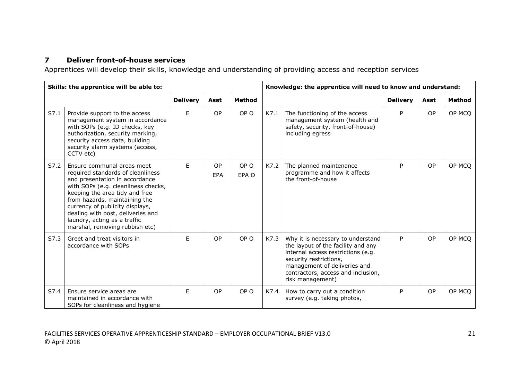#### **7 Deliver front-of-house services**

Apprentices will develop their skills, knowledge and understanding of providing access and reception services

|      | Skills: the apprentice will be able to:                                                                                                                                                                                                                                                                                                               |                 |                  |               | Knowledge: the apprentice will need to know and understand: |                                                                                                                                                                                                                                   |                 |           |               |
|------|-------------------------------------------------------------------------------------------------------------------------------------------------------------------------------------------------------------------------------------------------------------------------------------------------------------------------------------------------------|-----------------|------------------|---------------|-------------------------------------------------------------|-----------------------------------------------------------------------------------------------------------------------------------------------------------------------------------------------------------------------------------|-----------------|-----------|---------------|
|      |                                                                                                                                                                                                                                                                                                                                                       | <b>Delivery</b> | Asst             | <b>Method</b> |                                                             |                                                                                                                                                                                                                                   | <b>Delivery</b> | Asst      | <b>Method</b> |
| S7.1 | Provide support to the access<br>management system in accordance<br>with SOPs (e.g. ID checks, key<br>authorization, security marking,<br>security access data, building<br>security alarm systems (access,<br>CCTV etc)                                                                                                                              | F.              | OP               | OP O          | K7.1                                                        | The functioning of the access<br>management system (health and<br>safety, security, front-of-house)<br>including egress                                                                                                           | P               | <b>OP</b> | OP MCQ        |
| S7.2 | Ensure communal areas meet<br>required standards of cleanliness<br>and presentation in accordance<br>with SOPs (e.g. cleanliness checks,<br>keeping the area tidy and free<br>from hazards, maintaining the<br>currency of publicity displays,<br>dealing with post, deliveries and<br>laundry, acting as a traffic<br>marshal, removing rubbish etc) | F               | OP<br><b>EPA</b> | OP O<br>EPA O | K7.2                                                        | The planned maintenance<br>programme and how it affects<br>the front-of-house                                                                                                                                                     | P               | <b>OP</b> | OP MCQ        |
| S7.3 | Greet and treat visitors in<br>accordance with SOPs                                                                                                                                                                                                                                                                                                   | F.              | <b>OP</b>        | OP O          | K7.3                                                        | Why it is necessary to understand<br>the layout of the facility and any<br>internal access restrictions (e.g.<br>security restrictions,<br>management of deliveries and<br>contractors, access and inclusion,<br>risk management) | P               | <b>OP</b> | OP MCQ        |
| S7.4 | Ensure service areas are<br>maintained in accordance with<br>SOPs for cleanliness and hygiene                                                                                                                                                                                                                                                         | F.              | OP               | OP O          | K7.4                                                        | How to carry out a condition<br>survey (e.g. taking photos,                                                                                                                                                                       | P               | OP        | OP MCO        |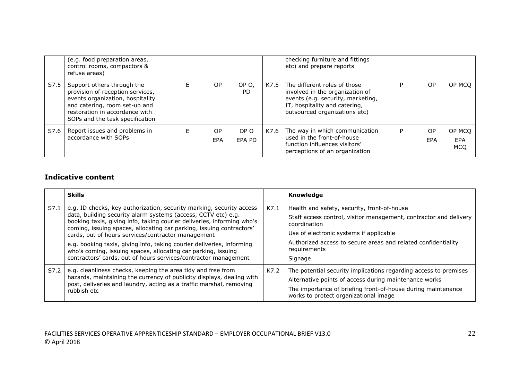|      | (e.g. food preparation areas,<br>control rooms, compactors &<br>refuse areas)                                                                                                                            |    |           |                |      | checking furniture and fittings<br>etc) and prepare reports                                                                                                                 |   |           |                                    |
|------|----------------------------------------------------------------------------------------------------------------------------------------------------------------------------------------------------------|----|-----------|----------------|------|-----------------------------------------------------------------------------------------------------------------------------------------------------------------------------|---|-----------|------------------------------------|
| S7.5 | Support others through the<br>provision of reception services,<br>events organization, hospitality<br>and catering, room set-up and<br>restoration in accordance with<br>SOPs and the task specification |    | OP        | OP O.<br>PD.   |      | K7.5 The different roles of those<br>involved in the organization of<br>events (e.g. security, marketing,<br>IT, hospitality and catering,<br>outsourced organizations etc) | D | OP        | OP MCO                             |
| S7.6 | Report issues and problems in<br>accordance with SOPs                                                                                                                                                    | F. | OP<br>EPA | OP O<br>EPA PD | K7.6 | The way in which communication<br>used in the front-of-house<br>function influences visitors'<br>perceptions of an organization                                             | P | OP<br>EPA | OP MCQ<br><b>EPA</b><br><b>MCQ</b> |

|      | <b>Skills</b>                                                                                                                                                                                                                                                                                                                                                                                                                                                                                                                                              |      | Knowledge                                                                                                                                                                                                                                                               |
|------|------------------------------------------------------------------------------------------------------------------------------------------------------------------------------------------------------------------------------------------------------------------------------------------------------------------------------------------------------------------------------------------------------------------------------------------------------------------------------------------------------------------------------------------------------------|------|-------------------------------------------------------------------------------------------------------------------------------------------------------------------------------------------------------------------------------------------------------------------------|
| S7.1 | e.g. ID checks, key authorization, security marking, security access<br>data, building security alarm systems (access, CCTV etc) e.g.<br>booking taxis, giving info, taking courier deliveries, informing who's<br>coming, issuing spaces, allocating car parking, issuing contractors'<br>cards, out of hours services/contractor management<br>e.g. booking taxis, giving info, taking courier deliveries, informing<br>who's coming, issuing spaces, allocating car parking, issuing<br>contractors' cards, out of hours services/contractor management | K7.1 | Health and safety, security, front-of-house<br>Staff access control, visitor management, contractor and delivery<br>coordination<br>Use of electronic systems if applicable<br>Authorized access to secure areas and related confidentiality<br>requirements<br>Signage |
| S7.2 | e.g. cleanliness checks, keeping the area tidy and free from<br>hazards, maintaining the currency of publicity displays, dealing with<br>post, deliveries and laundry, acting as a traffic marshal, removing<br>rubbish etc                                                                                                                                                                                                                                                                                                                                | K7.2 | The potential security implications regarding access to premises<br>Alternative points of access during maintenance works<br>The importance of briefing front-of-house during maintenance<br>works to protect organizational image                                      |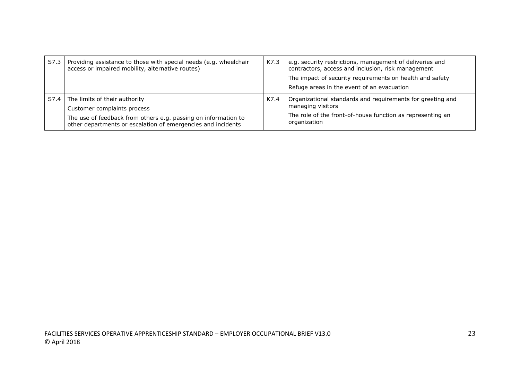| S7.3 | Providing assistance to those with special needs (e.g. wheelchair<br>access or impaired mobility, alternative routes)                                                                          | K7.3 | e.g. security restrictions, management of deliveries and<br>contractors, access and inclusion, risk management<br>The impact of security requirements on health and safety<br>Refuge areas in the event of an evacuation |
|------|------------------------------------------------------------------------------------------------------------------------------------------------------------------------------------------------|------|--------------------------------------------------------------------------------------------------------------------------------------------------------------------------------------------------------------------------|
| S7.4 | The limits of their authority<br>Customer complaints process<br>The use of feedback from others e.g. passing on information to<br>other departments or escalation of emergencies and incidents | K7.4 | Organizational standards and requirements for greeting and<br>managing visitors<br>The role of the front-of-house function as representing an<br>organization                                                            |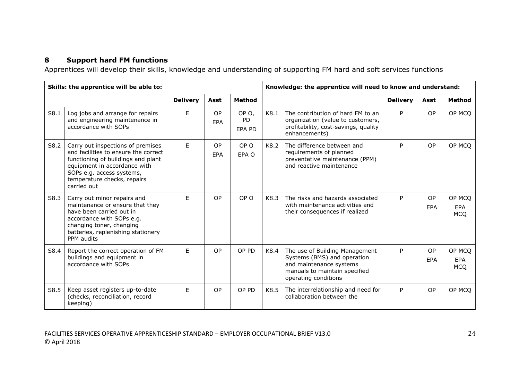#### **8 Support hard FM functions**

Apprentices will develop their skills, knowledge and understanding of supporting FM hard and soft services functions

|      | Skills: the apprentice will be able to:                                                                                                                                                                                    |                 |                         |                        |      | Knowledge: the apprentice will need to know and understand:                                                                                       |                 |                         |                                    |  |
|------|----------------------------------------------------------------------------------------------------------------------------------------------------------------------------------------------------------------------------|-----------------|-------------------------|------------------------|------|---------------------------------------------------------------------------------------------------------------------------------------------------|-----------------|-------------------------|------------------------------------|--|
|      |                                                                                                                                                                                                                            | <b>Delivery</b> | Asst                    | <b>Method</b>          |      |                                                                                                                                                   | <b>Delivery</b> | Asst                    | <b>Method</b>                      |  |
| S8.1 | Log jobs and arrange for repairs<br>and engineering maintenance in<br>accordance with SOPs                                                                                                                                 | F.              | <b>OP</b><br><b>EPA</b> | OP O,<br>PD.<br>EPA PD | K8.1 | The contribution of hard FM to an<br>organization (value to customers,<br>profitability, cost-savings, quality<br>enhancements)                   | P               | <b>OP</b>               | OP MCQ                             |  |
| S8.2 | Carry out inspections of premises<br>and facilities to ensure the correct<br>functioning of buildings and plant<br>equipment in accordance with<br>SOPs e.g. access systems,<br>temperature checks, repairs<br>carried out | F.              | <b>OP</b><br>EPA        | OP O<br>EPA O          | K8.2 | The difference between and<br>requirements of planned<br>preventative maintenance (PPM)<br>and reactive maintenance                               | P               | <b>OP</b>               | OP MCQ                             |  |
| S8.3 | Carry out minor repairs and<br>maintenance or ensure that they<br>have been carried out in<br>accordance with SOPs e.g.<br>changing toner, changing<br>batteries, replenishing stationery<br>PPM audits                    | F.              | OP                      | OP O                   | K8.3 | The risks and hazards associated<br>with maintenance activities and<br>their consequences if realized                                             | P               | OP<br>EPA               | OP MCQ<br><b>EPA</b><br><b>MCQ</b> |  |
| S8.4 | Report the correct operation of FM<br>buildings and equipment in<br>accordance with SOPs                                                                                                                                   | F.              | <b>OP</b>               | OP PD                  | K8.4 | The use of Building Management<br>Systems (BMS) and operation<br>and maintenance systems<br>manuals to maintain specified<br>operating conditions | P               | <b>OP</b><br><b>EPA</b> | OP MCQ<br><b>EPA</b><br><b>MCQ</b> |  |
| S8.5 | Keep asset registers up-to-date<br>(checks, reconciliation, record<br>keeping)                                                                                                                                             | F.              | OP                      | OP PD                  | K8.5 | The interrelationship and need for<br>collaboration between the                                                                                   | P               | OP                      | OP MCQ                             |  |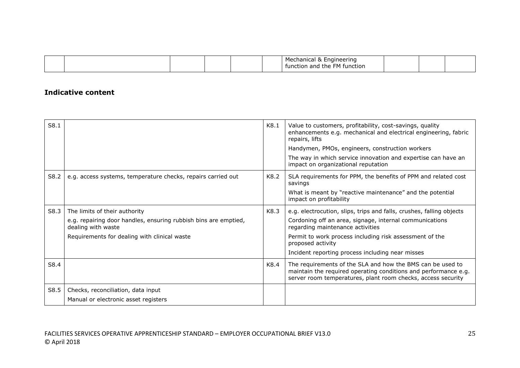|  |  |  | erina<br>-Mer<br>≅naine∈.<br>$\mathbf{d}$ |  |  |
|--|--|--|-------------------------------------------|--|--|
|  |  |  | FM function<br>function<br>ano י<br>the   |  |  |

| S8.1 |                                                                                                                                                                        | K8.1 | Value to customers, profitability, cost-savings, quality<br>enhancements e.g. mechanical and electrical engineering, fabric<br>repairs, lifts<br>Handymen, PMOs, engineers, construction workers<br>The way in which service innovation and expertise can have an<br>impact on organizational reputation |
|------|------------------------------------------------------------------------------------------------------------------------------------------------------------------------|------|----------------------------------------------------------------------------------------------------------------------------------------------------------------------------------------------------------------------------------------------------------------------------------------------------------|
| S8.2 | e.g. access systems, temperature checks, repairs carried out                                                                                                           | K8.2 | SLA requirements for PPM, the benefits of PPM and related cost<br>savings<br>What is meant by "reactive maintenance" and the potential<br>impact on profitability                                                                                                                                        |
| S8.3 | The limits of their authority<br>e.g. repairing door handles, ensuring rubbish bins are emptied,<br>dealing with waste<br>Requirements for dealing with clinical waste | K8.3 | e.g. electrocution, slips, trips and falls, crushes, falling objects<br>Cordoning off an area, signage, internal communications<br>regarding maintenance activities<br>Permit to work process including risk assessment of the<br>proposed activity<br>Incident reporting process including near misses  |
| S8.4 |                                                                                                                                                                        | K8.4 | The requirements of the SLA and how the BMS can be used to<br>maintain the required operating conditions and performance e.g.<br>server room temperatures, plant room checks, access security                                                                                                            |
| S8.5 | Checks, reconciliation, data input<br>Manual or electronic asset registers                                                                                             |      |                                                                                                                                                                                                                                                                                                          |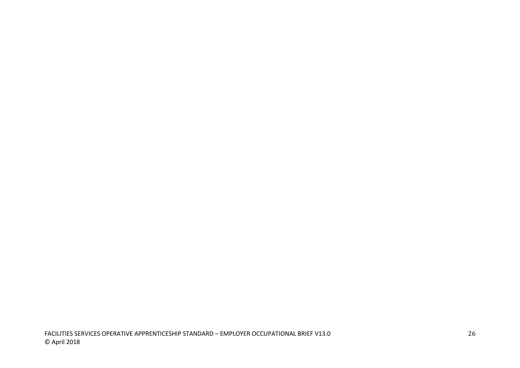#### FACILITIES SERVICES OPERATIVE APPRENTICESHIP STANDARD – EMPLOYER OCCUPATIONAL BRIEF V13.0 © April 2018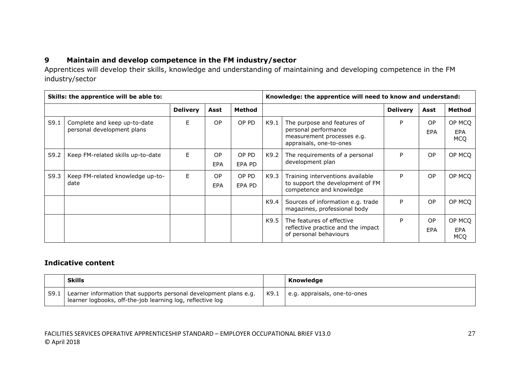#### **9 Maintain and develop competence in the FM industry/sector**

Apprentices will develop their skills, knowledge and understanding of maintaining and developing competence in the FM industry/sector

|      | Skills: the apprentice will be able to:                    |                 |                  |                 |      | Knowledge: the apprentice will need to know and understand:                                                  |                 |                         |                                    |  |
|------|------------------------------------------------------------|-----------------|------------------|-----------------|------|--------------------------------------------------------------------------------------------------------------|-----------------|-------------------------|------------------------------------|--|
|      |                                                            | <b>Delivery</b> | Asst             | Method          |      |                                                                                                              | <b>Delivery</b> | Asst                    | Method                             |  |
| S9.1 | Complete and keep up-to-date<br>personal development plans | Е               | <b>OP</b>        | OP PD           | K9.1 | The purpose and features of<br>personal performance<br>measurement processes e.g.<br>appraisals, one-to-ones | P               | <b>OP</b><br><b>EPA</b> | OP MCQ<br><b>EPA</b><br><b>MCQ</b> |  |
| S9.2 | Keep FM-related skills up-to-date                          | E               | <b>OP</b><br>EPA | OP PD<br>EPA PD | K9.2 | The requirements of a personal<br>development plan                                                           | P               | OP.                     | OP MCQ                             |  |
| S9.3 | Keep FM-related knowledge up-to-<br>date                   | E               | <b>OP</b><br>EPA | OP PD<br>EPA PD | K9.3 | Training interventions available<br>to support the development of FM<br>competence and knowledge             | P               | <b>OP</b>               | OP MCQ                             |  |
|      |                                                            |                 |                  |                 | K9.4 | Sources of information e.g. trade<br>magazines, professional body                                            | P               | OP                      | OP MCQ                             |  |
|      |                                                            |                 |                  |                 | K9.5 | The features of effective<br>reflective practice and the impact<br>of personal behaviours                    | D               | 0P<br>EPA               | OP MCQ<br><b>EPA</b><br><b>MCQ</b> |  |

| <b>Skills</b>                                                                                                                          |      | <b>Knowledge</b>             |
|----------------------------------------------------------------------------------------------------------------------------------------|------|------------------------------|
| S9.1   Learner information that supports personal development plans e.g.<br>learner logbooks, off-the-job learning log, reflective log | K9.1 | e.g. appraisals, one-to-ones |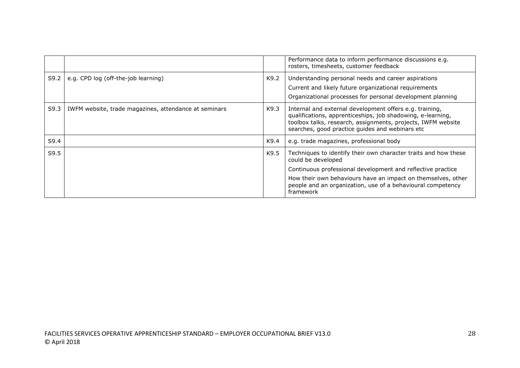|      |                                                       |      | Performance data to inform performance discussions e.g.<br>rosters, timesheets, customer feedback                                                                                                                                         |
|------|-------------------------------------------------------|------|-------------------------------------------------------------------------------------------------------------------------------------------------------------------------------------------------------------------------------------------|
| S9.2 | e.g. CPD log (off-the-job learning)                   | K9.2 | Understanding personal needs and career aspirations<br>Current and likely future organizational requirements<br>Organizational processes for personal development planning                                                                |
| S9.3 | IWFM website, trade magazines, attendance at seminars | K9.3 | Internal and external development offers e.g. training,<br>qualifications, apprenticeships, job shadowing, e-learning,<br>toolbox talks, research, assignments, projects, IWFM website<br>searches, good practice guides and webinars etc |
| S9.4 |                                                       | K9.4 | e.g. trade magazines, professional body                                                                                                                                                                                                   |
| S9.5 |                                                       | K9.5 | Techniques to identify their own character traits and how these<br>could be developed                                                                                                                                                     |
|      |                                                       |      | Continuous professional development and reflective practice                                                                                                                                                                               |
|      |                                                       |      | How their own behaviours have an impact on themselves, other<br>people and an organization, use of a behavioural competency<br>framework                                                                                                  |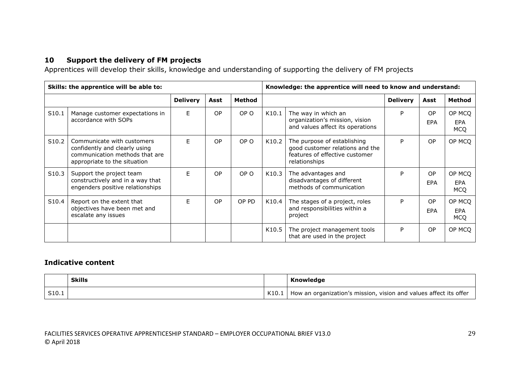#### **10 Support the delivery of FM projects**

Apprentices will develop their skills, knowledge and understanding of supporting the delivery of FM projects

|                   | Skills: the apprentice will be able to:                                                                                       | Knowledge: the apprentice will need to know and understand: |           |        |                   |                                                                                                                   |                 |                         |                                    |
|-------------------|-------------------------------------------------------------------------------------------------------------------------------|-------------------------------------------------------------|-----------|--------|-------------------|-------------------------------------------------------------------------------------------------------------------|-----------------|-------------------------|------------------------------------|
|                   |                                                                                                                               | <b>Delivery</b>                                             | Asst      | Method |                   |                                                                                                                   | <b>Delivery</b> | Asst                    | Method                             |
| S <sub>10.1</sub> | Manage customer expectations in<br>accordance with SOPs                                                                       | Е                                                           | <b>OP</b> | OP O   | K10.1             | The way in which an<br>organization's mission, vision<br>and values affect its operations                         | P               | <b>OP</b><br><b>EPA</b> | OP MCQ<br><b>EPA</b><br><b>MCQ</b> |
| S <sub>10.2</sub> | Communicate with customers<br>confidently and clearly using<br>communication methods that are<br>appropriate to the situation | F.                                                          | <b>OP</b> | OP O   | K10.2             | The purpose of establishing<br>good customer relations and the<br>features of effective customer<br>relationships | P               | <b>OP</b>               | OP MCQ                             |
| S <sub>10.3</sub> | Support the project team<br>constructively and in a way that<br>engenders positive relationships                              | F.                                                          | <b>OP</b> | OP O   | K10.3             | The advantages and<br>disadvantages of different<br>methods of communication                                      | P               | <b>OP</b><br>EPA        | OP MCQ<br><b>EPA</b><br><b>MCQ</b> |
| S10.4             | Report on the extent that<br>objectives have been met and<br>escalate any issues                                              | F.                                                          | <b>OP</b> | OP PD  | K10.4             | The stages of a project, roles<br>and responsibilities within a<br>project                                        | P               | <b>OP</b><br>EPA        | OP MCQ<br><b>EPA</b><br><b>MCQ</b> |
|                   |                                                                                                                               |                                                             |           |        | K <sub>10.5</sub> | The project management tools<br>that are used in the project                                                      | P               | <b>OP</b>               | OP MCQ                             |

|       | <b>Skills</b> |       | Knowledge                                                         |
|-------|---------------|-------|-------------------------------------------------------------------|
| S10.1 |               | K10.1 | How an organization's mission, vision and values affect its offer |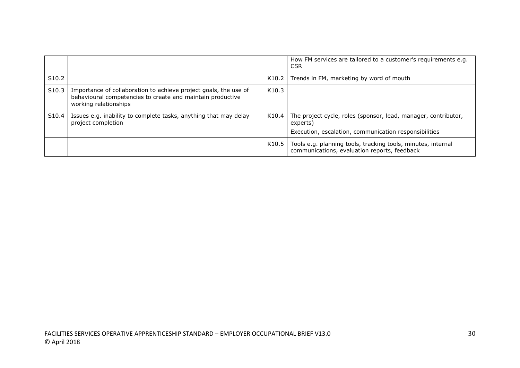|                   |                                                                                                                                                         |                   | How FM services are tailored to a customer's requirements e.g.<br><b>CSR</b>                                                        |
|-------------------|---------------------------------------------------------------------------------------------------------------------------------------------------------|-------------------|-------------------------------------------------------------------------------------------------------------------------------------|
| S <sub>10.2</sub> |                                                                                                                                                         | K10.2             | Trends in FM, marketing by word of mouth                                                                                            |
| S <sub>10.3</sub> | Importance of collaboration to achieve project goals, the use of<br>behavioural competencies to create and maintain productive<br>working relationships | K <sub>10.3</sub> |                                                                                                                                     |
| S <sub>10.4</sub> | Issues e.g. inability to complete tasks, anything that may delay<br>project completion                                                                  | K <sub>10.4</sub> | The project cycle, roles (sponsor, lead, manager, contributor,<br>experts)<br>Execution, escalation, communication responsibilities |
|                   |                                                                                                                                                         | K10.5             | Tools e.g. planning tools, tracking tools, minutes, internal<br>communications, evaluation reports, feedback                        |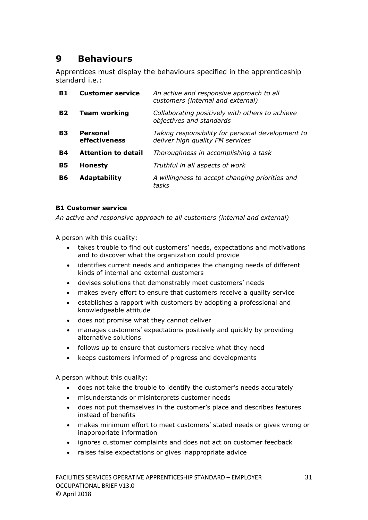### **9 Behaviours**

Apprentices must display the behaviours specified in the apprenticeship standard i.e.:

| <b>B1</b> | <b>Customer service</b>          | An active and responsive approach to all<br>customers (internal and external)         |
|-----------|----------------------------------|---------------------------------------------------------------------------------------|
| <b>B2</b> | <b>Team working</b>              | Collaborating positively with others to achieve<br>objectives and standards           |
| <b>B3</b> | <b>Personal</b><br>effectiveness | Taking responsibility for personal development to<br>deliver high quality FM services |
| <b>B4</b> | <b>Attention to detail</b>       | Thoroughness in accomplishing a task                                                  |
| <b>B5</b> | <b>Honesty</b>                   | Truthful in all aspects of work                                                       |
| <b>B6</b> | <b>Adaptability</b>              | A willingness to accept changing priorities and<br>tasks                              |

#### **B1 Customer service**

*An active and responsive approach to all customers (internal and external)* 

A person with this quality:

- takes trouble to find out customers' needs, expectations and motivations and to discover what the organization could provide
- identifies current needs and anticipates the changing needs of different kinds of internal and external customers
- devises solutions that demonstrably meet customers' needs
- makes every effort to ensure that customers receive a quality service
- establishes a rapport with customers by adopting a professional and knowledgeable attitude
- does not promise what they cannot deliver
- manages customers' expectations positively and quickly by providing alternative solutions
- follows up to ensure that customers receive what they need
- keeps customers informed of progress and developments

A person without this quality:

- does not take the trouble to identify the customer's needs accurately
- misunderstands or misinterprets customer needs
- does not put themselves in the customer's place and describes features instead of benefits
- makes minimum effort to meet customers' stated needs or gives wrong or inappropriate information
- ignores customer complaints and does not act on customer feedback
- raises false expectations or gives inappropriate advice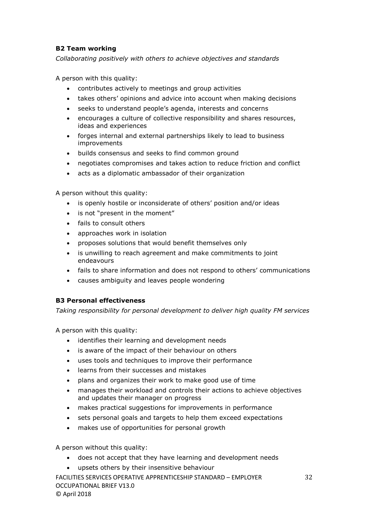#### **B2 Team working**

*Collaborating positively with others to achieve objectives and standards* 

A person with this quality:

- contributes actively to meetings and group activities
- takes others' opinions and advice into account when making decisions
- seeks to understand people's agenda, interests and concerns
- encourages a culture of collective responsibility and shares resources, ideas and experiences
- forges internal and external partnerships likely to lead to business improvements
- builds consensus and seeks to find common ground
- negotiates compromises and takes action to reduce friction and conflict
- acts as a diplomatic ambassador of their organization

A person without this quality:

- is openly hostile or inconsiderate of others' position and/or ideas
- is not "present in the moment"
- fails to consult others
- approaches work in isolation
- proposes solutions that would benefit themselves only
- is unwilling to reach agreement and make commitments to joint endeavours
- fails to share information and does not respond to others' communications
- causes ambiguity and leaves people wondering

#### **B3 Personal effectiveness**

*Taking responsibility for personal development to deliver high quality FM services*

A person with this quality:

- identifies their learning and development needs
- is aware of the impact of their behaviour on others
- uses tools and techniques to improve their performance
- learns from their successes and mistakes
- plans and organizes their work to make good use of time
- manages their workload and controls their actions to achieve objectives and updates their manager on progress
- makes practical suggestions for improvements in performance
- sets personal goals and targets to help them exceed expectations
- makes use of opportunities for personal growth

A person without this quality:

- does not accept that they have learning and development needs
- upsets others by their insensitive behaviour

FACILITIES SERVICES OPERATIVE APPRENTICESHIP STANDARD – EMPLOYER OCCUPATIONAL BRIEF V13.0 © April 2018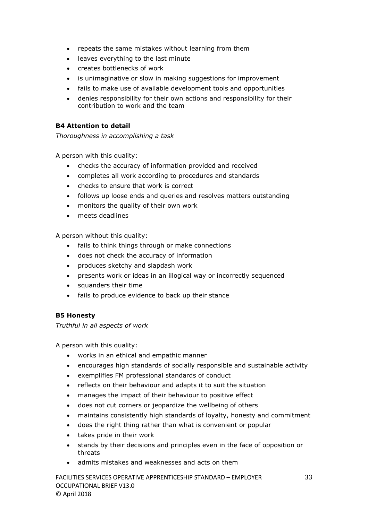- repeats the same mistakes without learning from them
- leaves everything to the last minute
- creates bottlenecks of work
- is unimaginative or slow in making suggestions for improvement
- fails to make use of available development tools and opportunities
- denies responsibility for their own actions and responsibility for their contribution to work and the team

#### **B4 Attention to detail**

*Thoroughness in accomplishing a task*

A person with this quality:

- checks the accuracy of information provided and received
- completes all work according to procedures and standards
- checks to ensure that work is correct
- follows up loose ends and queries and resolves matters outstanding
- monitors the quality of their own work
- meets deadlines

A person without this quality:

- fails to think things through or make connections
- does not check the accuracy of information
- produces sketchy and slapdash work
- presents work or ideas in an illogical way or incorrectly sequenced
- squanders their time
- fails to produce evidence to back up their stance

#### **B5 Honesty**

*Truthful in all aspects of work*

A person with this quality:

- works in an ethical and empathic manner
- encourages high standards of socially responsible and sustainable activity
- exemplifies FM professional standards of conduct
- reflects on their behaviour and adapts it to suit the situation
- manages the impact of their behaviour to positive effect
- does not cut corners or jeopardize the wellbeing of others
- maintains consistently high standards of loyalty, honesty and commitment
- does the right thing rather than what is convenient or popular
- takes pride in their work
- stands by their decisions and principles even in the face of opposition or threats
- admits mistakes and weaknesses and acts on them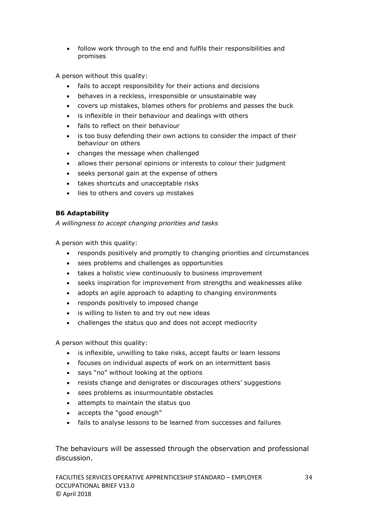• follow work through to the end and fulfils their responsibilities and promises

A person without this quality:

- fails to accept responsibility for their actions and decisions
- behaves in a reckless, irresponsible or unsustainable way
- covers up mistakes, blames others for problems and passes the buck
- is inflexible in their behaviour and dealings with others
- fails to reflect on their behaviour
- is too busy defending their own actions to consider the impact of their behaviour on others
- changes the message when challenged
- allows their personal opinions or interests to colour their judgment
- seeks personal gain at the expense of others
- takes shortcuts and unacceptable risks
- lies to others and covers up mistakes

#### **B6 Adaptability**

*A willingness to accept changing priorities and tasks*

A person with this quality:

- responds positively and promptly to changing priorities and circumstances
- sees problems and challenges as opportunities
- takes a holistic view continuously to business improvement
- seeks inspiration for improvement from strengths and weaknesses alike
- adopts an agile approach to adapting to changing environments
- responds positively to imposed change
- is willing to listen to and try out new ideas
- challenges the status quo and does not accept mediocrity

A person without this quality:

- is inflexible, unwilling to take risks, accept faults or learn lessons
- focuses on individual aspects of work on an intermittent basis
- says "no" without looking at the options
- resists change and denigrates or discourages others' suggestions
- sees problems as insurmountable obstacles
- attempts to maintain the status quo
- accepts the "good enough"
- fails to analyse lessons to be learned from successes and failures

The behaviours will be assessed through the observation and professional discussion.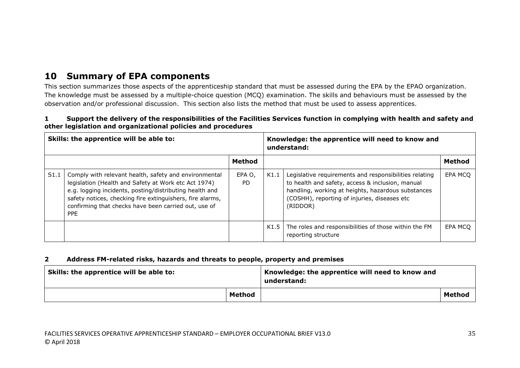### **10 Summary of EPA components**

This section summarizes those aspects of the apprenticeship standard that must be assessed during the EPA by the EPAO organization. The knowledge must be assessed by a multiple-choice question (MCQ) examination. The skills and behaviours must be assessed by the observation and/or professional discussion. This section also lists the method that must be used to assess apprentices.

#### **1 Support the delivery of the responsibilities of the Facilities Services function in complying with health and safety and other legislation and organizational policies and procedures**

|      | Skills: the apprentice will be able to:                                                                                                                                                                                                                                                                     |               | Knowledge: the apprentice will need to know and<br>understand: |                                                                                                                                                                                                                              |         |
|------|-------------------------------------------------------------------------------------------------------------------------------------------------------------------------------------------------------------------------------------------------------------------------------------------------------------|---------------|----------------------------------------------------------------|------------------------------------------------------------------------------------------------------------------------------------------------------------------------------------------------------------------------------|---------|
|      |                                                                                                                                                                                                                                                                                                             | Method        |                                                                |                                                                                                                                                                                                                              | Method  |
| S1.1 | Comply with relevant health, safety and environmental<br>legislation (Health and Safety at Work etc Act 1974)<br>e.g. logging incidents, posting/distributing health and<br>safety notices, checking fire extinguishers, fire alarms,<br>confirming that checks have been carried out, use of<br><b>PPE</b> | EPA O,<br>PD. | K1.1                                                           | Legislative requirements and responsibilities relating<br>to health and safety, access & inclusion, manual<br>handling, working at heights, hazardous substances<br>(COSHH), reporting of injuries, diseases etc<br>(RIDDOR) | EPA MCQ |
|      |                                                                                                                                                                                                                                                                                                             |               | K1.5                                                           | The roles and responsibilities of those within the FM<br>reporting structure                                                                                                                                                 | EPA MCQ |

#### **2 Address FM-related risks, hazards and threats to people, property and premises**

| Skills: the apprentice will be able to: | Knowledge: the apprentice will need to know and<br>understand: |  |        |
|-----------------------------------------|----------------------------------------------------------------|--|--------|
|                                         | Method                                                         |  | Method |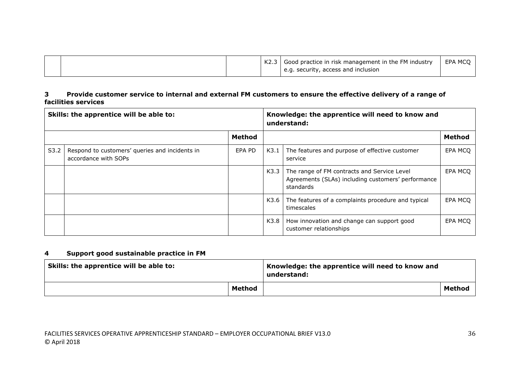|  |  | K2.3   Good practice in risk management in the FM industry | <b>EPA MCO</b> |
|--|--|------------------------------------------------------------|----------------|
|  |  | e.g. security, access and inclusion                        |                |

#### **3 Provide customer service to internal and external FM customers to ensure the effective delivery of a range of facilities services**

| Skills: the apprentice will be able to: |                                                                        | Knowledge: the apprentice will need to know and<br>understand: |                   |                                                                                                                |         |
|-----------------------------------------|------------------------------------------------------------------------|----------------------------------------------------------------|-------------------|----------------------------------------------------------------------------------------------------------------|---------|
|                                         |                                                                        | <b>Method</b>                                                  |                   |                                                                                                                | Method  |
| S3.2                                    | Respond to customers' queries and incidents in<br>accordance with SOPs | EPA PD                                                         | K3.1              | The features and purpose of effective customer<br>service                                                      | EPA MCO |
|                                         |                                                                        |                                                                | K3.3 <sub>1</sub> | The range of FM contracts and Service Level<br>Agreements (SLAs) including customers' performance<br>standards | EPA MCQ |
|                                         |                                                                        |                                                                |                   | K3.6   The features of a complaints procedure and typical<br>timescales                                        | EPA MCQ |
|                                         |                                                                        |                                                                | K3.8              | How innovation and change can support good<br>customer relationships                                           | EPA MCQ |

#### **4 Support good sustainable practice in FM**

| $\frac{1}{2}$ Skills: the apprentice will be able to: |        | Knowledge: the apprentice will need to know and<br>understand: |        |
|-------------------------------------------------------|--------|----------------------------------------------------------------|--------|
|                                                       | Method |                                                                | Method |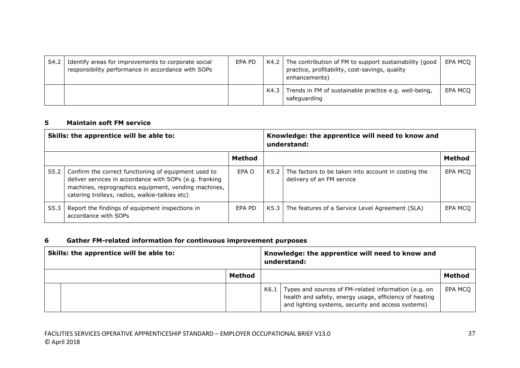| S4.2 | Identify areas for improvements to corporate social<br>responsibility performance in accordance with SOPs | EPA PD |        | $K4.2$ The contribution of FM to support sustainability (good<br>practice, profitability, cost-savings, quality<br>enhancements) | EPA MCQ |
|------|-----------------------------------------------------------------------------------------------------------|--------|--------|----------------------------------------------------------------------------------------------------------------------------------|---------|
|      |                                                                                                           |        | K4.3 I | Trends in FM of sustainable practice e.g. well-being,<br>safeguarding                                                            | EPA MCQ |

#### **5 Maintain soft FM service**

| Skills: the apprentice will be able to: |                                                                                                                                                                                                                           | Knowledge: the apprentice will need to know and<br>understand: |  |                                                                                       |         |
|-----------------------------------------|---------------------------------------------------------------------------------------------------------------------------------------------------------------------------------------------------------------------------|----------------------------------------------------------------|--|---------------------------------------------------------------------------------------|---------|
|                                         |                                                                                                                                                                                                                           | <b>Method</b>                                                  |  |                                                                                       | Method  |
| S5.2                                    | Confirm the correct functioning of equipment used to<br>deliver services in accordance with SOPs (e.g. franking<br>machines, reprographics equipment, vending machines,<br>catering trolleys, radios, walkie-talkies etc) | EPA O                                                          |  | K5.2 The factors to be taken into account in costing the<br>delivery of an FM service | EPA MCQ |
| S5.3                                    | Report the findings of equipment inspections in<br>accordance with SOPs                                                                                                                                                   | EPA PD                                                         |  | K5.3   The features of a Service Level Agreement (SLA)                                | EPA MCQ |

#### **6 Gather FM-related information for continuous improvement purposes**

| Skills: the apprentice will be able to: |  | Knowledge: the apprentice will need to know and<br>understand: |      |                                                                                                                                                                      |         |
|-----------------------------------------|--|----------------------------------------------------------------|------|----------------------------------------------------------------------------------------------------------------------------------------------------------------------|---------|
|                                         |  | Method                                                         |      |                                                                                                                                                                      | Method  |
|                                         |  |                                                                | K6.1 | Types and sources of FM-related information (e.g. on<br>health and safety, energy usage, efficiency of heating<br>and lighting systems, security and access systems) | EPA MCO |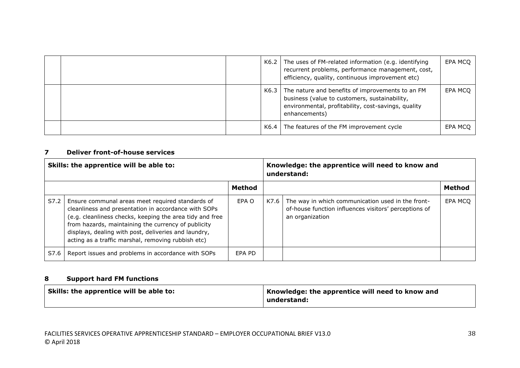|  | $K6.2$ The uses of FM-related information (e.g. identifying<br>recurrent problems, performance management, cost,<br>efficiency, quality, continuous improvement etc)             | EPA MCQ |
|--|----------------------------------------------------------------------------------------------------------------------------------------------------------------------------------|---------|
|  | K6.3   The nature and benefits of improvements to an FM<br>business (value to customers, sustainability,<br>environmental, profitability, cost-savings, quality<br>enhancements) | EPA MCQ |
|  | K6.4 The features of the FM improvement cycle                                                                                                                                    | EPA MCQ |

#### **7 Deliver front-of-house services**

| Skills: the apprentice will be able to: |                                                                                                                                                                                                                                                                                                                                           | Knowledge: the apprentice will need to know and<br>understand: |      |                                                                                                                               |               |
|-----------------------------------------|-------------------------------------------------------------------------------------------------------------------------------------------------------------------------------------------------------------------------------------------------------------------------------------------------------------------------------------------|----------------------------------------------------------------|------|-------------------------------------------------------------------------------------------------------------------------------|---------------|
|                                         |                                                                                                                                                                                                                                                                                                                                           | Method                                                         |      |                                                                                                                               | <b>Method</b> |
| S7.2                                    | Ensure communal areas meet required standards of<br>cleanliness and presentation in accordance with SOPs<br>(e.g. cleanliness checks, keeping the area tidy and free<br>from hazards, maintaining the currency of publicity<br>displays, dealing with post, deliveries and laundry,<br>acting as a traffic marshal, removing rubbish etc) | EPA O                                                          | K7.6 | The way in which communication used in the front-<br>of-house function influences visitors' perceptions of<br>an organization | EPA MCQ       |
| S7.6                                    | Report issues and problems in accordance with SOPs                                                                                                                                                                                                                                                                                        | EPA PD                                                         |      |                                                                                                                               |               |

#### **8 Support hard FM functions**

| $\frac{1}{2}$ Skills: the apprentice will be able to: | Knowledge: the apprentice will need to know and |
|-------------------------------------------------------|-------------------------------------------------|
|                                                       | understand:                                     |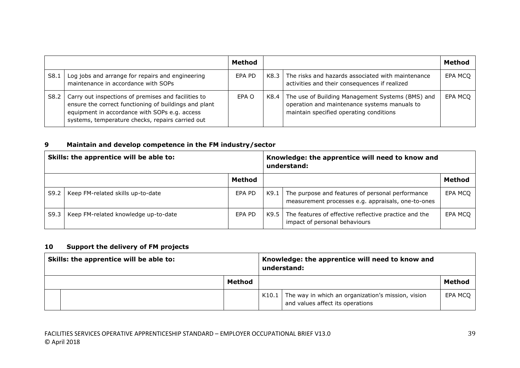|      |                                                                                                                                                                                                                   | Method |        |                                                                                                                                             | Method  |
|------|-------------------------------------------------------------------------------------------------------------------------------------------------------------------------------------------------------------------|--------|--------|---------------------------------------------------------------------------------------------------------------------------------------------|---------|
| S8.1 | Log jobs and arrange for repairs and engineering<br>maintenance in accordance with SOPs                                                                                                                           | EPA PD |        | K8.3 The risks and hazards associated with maintenance<br>activities and their consequences if realized                                     | EPA MCQ |
| S8.2 | Carry out inspections of premises and facilities to<br>ensure the correct functioning of buildings and plant<br>equipment in accordance with SOPs e.g. access<br>systems, temperature checks, repairs carried out | EPA O  | K8.4 I | The use of Building Management Systems (BMS) and<br>operation and maintenance systems manuals to<br>maintain specified operating conditions | EPA MCQ |

#### **9 Maintain and develop competence in the FM industry/sector**

| Skills: the apprentice will be able to: |                                      | Knowledge: the apprentice will need to know and<br>understand: |        |                                                                                                        |         |
|-----------------------------------------|--------------------------------------|----------------------------------------------------------------|--------|--------------------------------------------------------------------------------------------------------|---------|
|                                         |                                      | <b>Method</b>                                                  |        |                                                                                                        | Method  |
| S9.2                                    | Keep FM-related skills up-to-date    | EPA PD                                                         | K9.1 l | The purpose and features of personal performance<br>measurement processes e.g. appraisals, one-to-ones | EPA MCQ |
| S9.3                                    | Keep FM-related knowledge up-to-date | EPA PD                                                         |        | K9.5 The features of effective reflective practice and the<br>impact of personal behaviours            | EPA MCQ |

#### **10 Support the delivery of FM projects**

| Skills: the apprentice will be able to: |  | Knowledge: the apprentice will need to know and<br>understand: |  |                                                                                                |         |
|-----------------------------------------|--|----------------------------------------------------------------|--|------------------------------------------------------------------------------------------------|---------|
|                                         |  | Method                                                         |  |                                                                                                | Method  |
|                                         |  |                                                                |  | $K10.1$ The way in which an organization's mission, vision<br>and values affect its operations | EPA MCQ |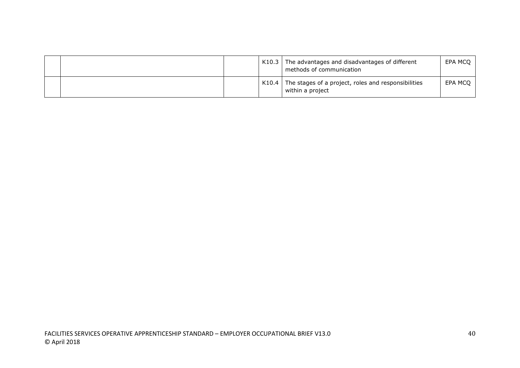|  |  | K10.3   The advantages and disadvantages of different<br>methods of communication | EPA MCO |
|--|--|-----------------------------------------------------------------------------------|---------|
|  |  | K10.4   The stages of a project, roles and responsibilities<br>within a project   | EPA MCO |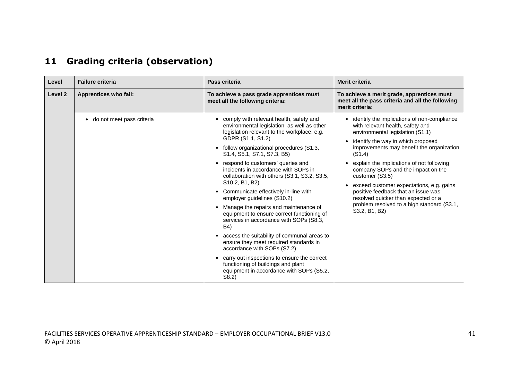### **11 Grading criteria (observation)**

| Level   | <b>Failure criteria</b>     | Pass criteria                                                                                                                                                                                                                                                                                                                                                                                                                                                                                                                                                                                                                                                                                                                                                                                                                                                                                                                                                                              | <b>Merit criteria</b>                                                                                                                                                                                                                                                                                                                                                                                                                                                                                             |
|---------|-----------------------------|--------------------------------------------------------------------------------------------------------------------------------------------------------------------------------------------------------------------------------------------------------------------------------------------------------------------------------------------------------------------------------------------------------------------------------------------------------------------------------------------------------------------------------------------------------------------------------------------------------------------------------------------------------------------------------------------------------------------------------------------------------------------------------------------------------------------------------------------------------------------------------------------------------------------------------------------------------------------------------------------|-------------------------------------------------------------------------------------------------------------------------------------------------------------------------------------------------------------------------------------------------------------------------------------------------------------------------------------------------------------------------------------------------------------------------------------------------------------------------------------------------------------------|
| Level 2 | Apprentices who fail:       | To achieve a pass grade apprentices must<br>meet all the following criteria:                                                                                                                                                                                                                                                                                                                                                                                                                                                                                                                                                                                                                                                                                                                                                                                                                                                                                                               | To achieve a merit grade, apprentices must<br>meet all the pass criteria and all the following<br>merit criteria:                                                                                                                                                                                                                                                                                                                                                                                                 |
|         | • do not meet pass criteria | comply with relevant health, safety and<br>environmental legislation, as well as other<br>legislation relevant to the workplace, e.g.<br>GDPR (S1.1, S1.2)<br>follow organizational procedures (S1.3,<br>$\bullet$<br>S <sub>1</sub> .4, S <sub>5</sub> .1, S <sub>7</sub> .1, S <sub>7</sub> .3, B <sub>5</sub> )<br>respond to customers' queries and<br>$\bullet$<br>incidents in accordance with SOPs in<br>collaboration with others (S3.1, S3.2, S3.5,<br>S10.2, B1, B2)<br>Communicate effectively in-line with<br>employer guidelines (S10.2)<br>Manage the repairs and maintenance of<br>$\bullet$<br>equipment to ensure correct functioning of<br>services in accordance with SOPs (S8.3,<br>B4)<br>access the suitability of communal areas to<br>ensure they meet required standards in<br>accordance with SOPs (S7.2)<br>carry out inspections to ensure the correct<br>$\bullet$<br>functioning of buildings and plant<br>equipment in accordance with SOPs (S5.2,<br>S8.2) | • identify the implications of non-compliance<br>with relevant health, safety and<br>environmental legislation (S1.1)<br>identify the way in which proposed<br>improvements may benefit the organization<br>(S1.4)<br>explain the implications of not following<br>company SOPs and the impact on the<br>customer (S3.5)<br>exceed customer expectations, e.g. gains<br>positive feedback that an issue was<br>resolved quicker than expected or a<br>problem resolved to a high standard (S3.1,<br>S3.2, B1, B2) |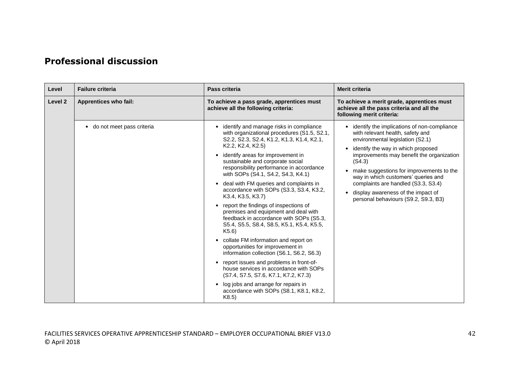### **Professional discussion**

| Level   | <b>Failure criteria</b>     | Pass criteria                                                                                                                                                                                                                                                                                                                                                                                                                                                                                                                                                                                                                                                                                                                                                                                                                                                                                                                                                                                                                        | <b>Merit criteria</b>                                                                                                                                                                                                                                                                                                                                                                                                    |
|---------|-----------------------------|--------------------------------------------------------------------------------------------------------------------------------------------------------------------------------------------------------------------------------------------------------------------------------------------------------------------------------------------------------------------------------------------------------------------------------------------------------------------------------------------------------------------------------------------------------------------------------------------------------------------------------------------------------------------------------------------------------------------------------------------------------------------------------------------------------------------------------------------------------------------------------------------------------------------------------------------------------------------------------------------------------------------------------------|--------------------------------------------------------------------------------------------------------------------------------------------------------------------------------------------------------------------------------------------------------------------------------------------------------------------------------------------------------------------------------------------------------------------------|
| Level 2 | Apprentices who fail:       | To achieve a pass grade, apprentices must<br>achieve all the following criteria:                                                                                                                                                                                                                                                                                                                                                                                                                                                                                                                                                                                                                                                                                                                                                                                                                                                                                                                                                     | To achieve a merit grade, apprentices must<br>achieve all the pass criteria and all the<br>following merit criteria:                                                                                                                                                                                                                                                                                                     |
|         | • do not meet pass criteria | identify and manage risks in compliance<br>$\bullet$<br>with organizational procedures (S1.5, S2.1,<br>S2.2, S2.3, S2.4, K1.2, K1.3, K1.4, K2.1,<br>K2.2, K2.4, K2.5)<br>identify areas for improvement in<br>$\bullet$<br>sustainable and corporate social<br>responsibility performance in accordance<br>with SOPs (S4.1, S4.2, S4.3, K4.1)<br>• deal with FM queries and complaints in<br>accordance with SOPs (S3.3, S3.4, K3.2,<br>K3.4, K3.5, K3.7)<br>report the findings of inspections of<br>$\bullet$<br>premises and equipment and deal with<br>feedback in accordance with SOPs (S5.3,<br>S5.4, S5.5, S8.4, S8.5, K5.1, K5.4, K5.5,<br>K5.6<br>• collate FM information and report on<br>opportunities for improvement in<br>information collection (S6.1, S6.2, S6.3)<br>report issues and problems in front-of-<br>$\bullet$<br>house services in accordance with SOPs<br>(S7.4, S7.5, S7.6, K7.1, K7.2, K7.3)<br>log jobs and arrange for repairs in<br>$\bullet$<br>accordance with SOPs (S8.1, K8.1, K8.2,<br>K8.5) | identify the implications of non-compliance<br>with relevant health, safety and<br>environmental legislation (S2.1)<br>identify the way in which proposed<br>improvements may benefit the organization<br>(S4.3)<br>make suggestions for improvements to the<br>way in which customers' queries and<br>complaints are handled (S3.3, S3.4)<br>display awareness of the impact of<br>personal behaviours (S9.2, S9.3, B3) |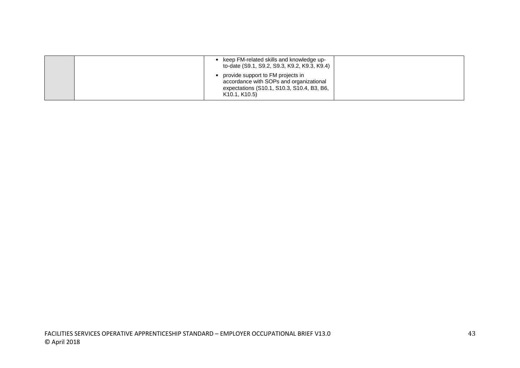| keep FM-related skills and knowledge up-<br>to-date (S9.1, S9.2, S9.3, K9.2, K9.3, K9.4)                                                                              |  |
|-----------------------------------------------------------------------------------------------------------------------------------------------------------------------|--|
| provide support to FM projects in<br>accordance with SOPs and organizational<br>expectations (S10.1, S10.3, S10.4, B3, B6,<br>K <sub>10.1</sub> , K <sub>10.5</sub> ) |  |